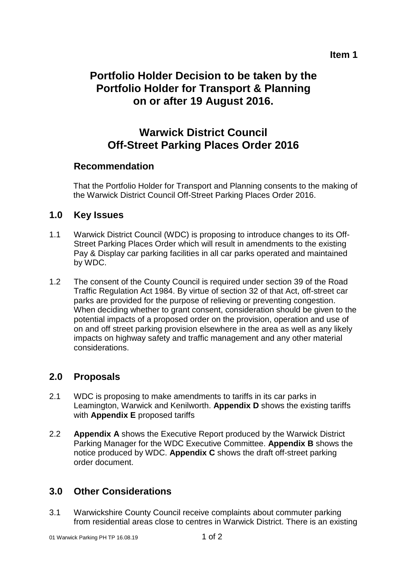## **Item 1**

# **Portfolio Holder Decision to be taken by the Portfolio Holder for Transport & Planning on or after 19 August 2016.**

# **Warwick District Council Off-Street Parking Places Order 2016**

## **Recommendation**

That the Portfolio Holder for Transport and Planning consents to the making of the Warwick District Council Off-Street Parking Places Order 2016.

## **1.0 Key Issues**

- 1.1 Warwick District Council (WDC) is proposing to introduce changes to its Off-Street Parking Places Order which will result in amendments to the existing Pay & Display car parking facilities in all car parks operated and maintained by WDC.
- 1.2 The consent of the County Council is required under section 39 of the Road Traffic Regulation Act 1984. By virtue of section 32 of that Act, off-street car parks are provided for the purpose of relieving or preventing congestion. When deciding whether to grant consent, consideration should be given to the potential impacts of a proposed order on the provision, operation and use of on and off street parking provision elsewhere in the area as well as any likely impacts on highway safety and traffic management and any other material considerations.

## **2.0 Proposals**

- 2.1 WDC is proposing to make amendments to tariffs in its car parks in Leamington, Warwick and Kenilworth. **Appendix D** shows the existing tariffs with **Appendix E** proposed tariffs
- 2.2 **Appendix A** shows the Executive Report produced by the Warwick District Parking Manager for the WDC Executive Committee. **Appendix B** shows the notice produced by WDC. **Appendix C** shows the draft off-street parking order document.

# **3.0 Other Considerations**

3.1 Warwickshire County Council receive complaints about commuter parking from residential areas close to centres in Warwick District. There is an existing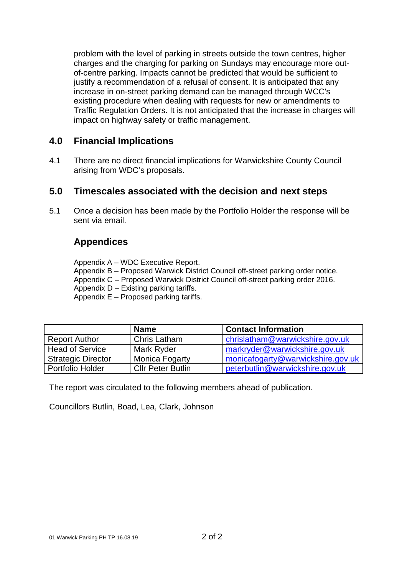problem with the level of parking in streets outside the town centres, higher charges and the charging for parking on Sundays may encourage more outof-centre parking. Impacts cannot be predicted that would be sufficient to justify a recommendation of a refusal of consent. It is anticipated that any increase in on-street parking demand can be managed through WCC's existing procedure when dealing with requests for new or amendments to Traffic Regulation Orders. It is not anticipated that the increase in charges will impact on highway safety or traffic management.

## **4.0 Financial Implications**

4.1 There are no direct financial implications for Warwickshire County Council arising from WDC's proposals.

## **5.0 Timescales associated with the decision and next steps**

5.1 Once a decision has been made by the Portfolio Holder the response will be sent via email.

# **Appendices**

Appendix A – WDC Executive Report.

- Appendix B Proposed Warwick District Council off-street parking order notice.
- Appendix C Proposed Warwick District Council off-street parking order 2016.
- Appendix D Existing parking tariffs.
- Appendix E Proposed parking tariffs.

|                           | <b>Name</b>              | <b>Contact Information</b>        |
|---------------------------|--------------------------|-----------------------------------|
| <b>Report Author</b>      | Chris Latham             | chrislatham@warwickshire.gov.uk   |
| <b>Head of Service</b>    | Mark Ryder               | markryder@warwickshire.gov.uk     |
| <b>Strategic Director</b> | Monica Fogarty           | monicafogarty@warwickshire.gov.uk |
| Portfolio Holder          | <b>Cllr Peter Butlin</b> | peterbutlin@warwickshire.gov.uk   |

The report was circulated to the following members ahead of publication.

Councillors Butlin, Boad, Lea, Clark, Johnson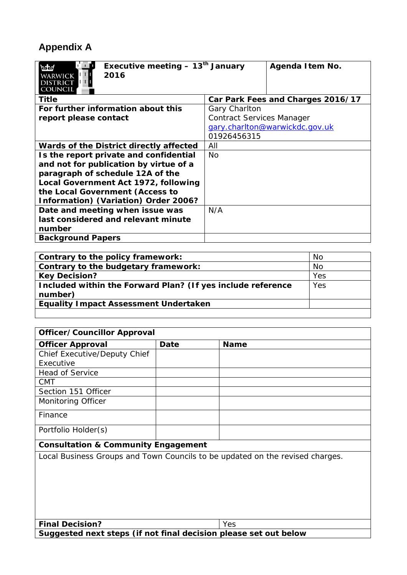# **Appendix A**

| Executive meeting $-13th$ January<br>2016<br>DISTRIC<br>COUNCIL | Agenda I tem No.                  |
|-----------------------------------------------------------------|-----------------------------------|
| Title                                                           | Car Park Fees and Charges 2016/17 |
| For further information about this                              | Gary Charlton                     |
| report please contact                                           | <b>Contract Services Manager</b>  |
|                                                                 | gary.charlton@warwickdc.gov.uk    |
|                                                                 | 01926456315                       |
| Wards of the District directly affected                         | All                               |
| Is the report private and confidential                          | No.                               |
| and not for publication by virtue of a                          |                                   |
| paragraph of schedule 12A of the                                |                                   |
| Local Government Act 1972, following                            |                                   |
| the Local Government (Access to                                 |                                   |
| Information) (Variation) Order 2006?                            |                                   |
| Date and meeting when issue was                                 | N/A                               |
| last considered and relevant minute                             |                                   |
| number                                                          |                                   |
| <b>Background Papers</b>                                        |                                   |

| Contrary to the policy framework:                           | No.       |
|-------------------------------------------------------------|-----------|
| Contrary to the budgetary framework:                        | <b>No</b> |
| <b>Key Decision?</b>                                        | Yes       |
| Included within the Forward Plan? (If yes include reference | Yes       |
| number)                                                     |           |
| <b>Equality Impact Assessment Undertaken</b>                |           |
|                                                             |           |

| <b>Officer/Councillor Approval</b>                                            |      |             |  |  |  |  |
|-------------------------------------------------------------------------------|------|-------------|--|--|--|--|
| <b>Officer Approval</b>                                                       | Date | <b>Name</b> |  |  |  |  |
| Chief Executive/Deputy Chief                                                  |      |             |  |  |  |  |
| Executive                                                                     |      |             |  |  |  |  |
| <b>Head of Service</b>                                                        |      |             |  |  |  |  |
| <b>CMT</b>                                                                    |      |             |  |  |  |  |
| Section 151 Officer                                                           |      |             |  |  |  |  |
| Monitoring Officer                                                            |      |             |  |  |  |  |
| Finance                                                                       |      |             |  |  |  |  |
| Portfolio Holder(s)                                                           |      |             |  |  |  |  |
| <b>Consultation &amp; Community Engagement</b>                                |      |             |  |  |  |  |
| Local Business Groups and Town Councils to be updated on the revised charges. |      |             |  |  |  |  |
| <b>Final Decision?</b>                                                        |      | <b>Yes</b>  |  |  |  |  |
| Suggested next steps (if not final decision please set out below              |      |             |  |  |  |  |

**Suggested next steps (if not final decision please set out below**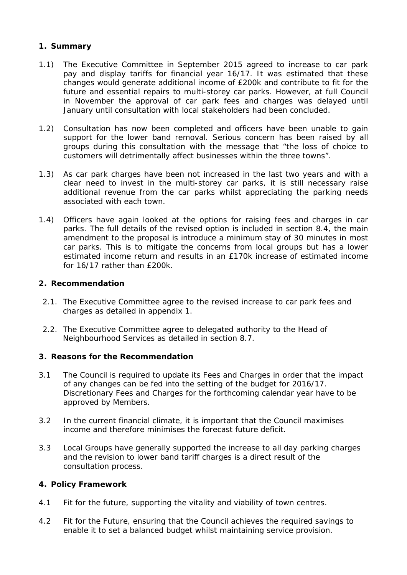## **1. Summary**

- 1.1) The Executive Committee in September 2015 agreed to increase to car park pay and display tariffs for financial year 16/17. It was estimated that these changes would generate additional income of £200k and contribute to fit for the future and essential repairs to multi-storey car parks. However, at full Council in November the approval of car park fees and charges was delayed until January until consultation with local stakeholders had been concluded.
- 1.2) Consultation has now been completed and officers have been unable to gain support for the lower band removal. Serious concern has been raised by all groups during this consultation with the message that "the loss of choice to customers will detrimentally affect businesses within the three towns".
- 1.3) As car park charges have been not increased in the last two years and with a clear need to invest in the multi-storey car parks, it is still necessary raise additional revenue from the car parks whilst appreciating the parking needs associated with each town.
- 1.4) Officers have again looked at the options for raising fees and charges in car parks. The full details of the revised option is included in section 8.4, the main amendment to the proposal is introduce a minimum stay of 30 minutes in most car parks. This is to mitigate the concerns from local groups but has a lower estimated income return and results in an £170k increase of estimated income for 16/17 rather than £200k.

#### **2. Recommendation**

- 2.1. The Executive Committee agree to the revised increase to car park fees and charges as detailed in appendix 1.
- 2.2. The Executive Committee agree to delegated authority to the Head of Neighbourhood Services as detailed in section 8.7.

#### **3. Reasons for the Recommendation**

- 3.1 The Council is required to update its Fees and Charges in order that the impact of any changes can be fed into the setting of the budget for 2016/17. Discretionary Fees and Charges for the forthcoming calendar year have to be approved by Members.
- 3.2 In the current financial climate, it is important that the Council maximises income and therefore minimises the forecast future deficit.
- 3.3 Local Groups have generally supported the increase to all day parking charges and the revision to lower band tariff charges is a direct result of the consultation process.

#### **4. Policy Framework**

- 4.1 Fit for the future, supporting the vitality and viability of town centres.
- 4.2 Fit for the Future, ensuring that the Council achieves the required savings to enable it to set a balanced budget whilst maintaining service provision.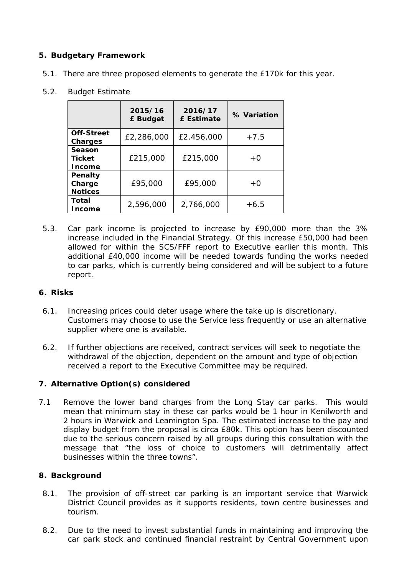## **5. Budgetary Framework**

5.1. There are three proposed elements to generate the £170k for this year.

## 5.2. Budget Estimate

|                                          | 2015/16<br>£ Budget | 2016/17<br>£ Estimate | % Variation |
|------------------------------------------|---------------------|-----------------------|-------------|
| Off-Street<br>Charges                    | £2,286,000          | £2,456,000            | $+7.5$      |
| Season<br><b>Ticket</b><br><b>Income</b> | £215,000            | £215,000              | $+0$        |
| Penalty<br>Charge<br><b>Notices</b>      | £95,000             | £95,000               | $+0$        |
| Total<br>Income                          | 2,596,000           | 2,766,000             | $+6.5$      |

5.3. Car park income is projected to increase by £90,000 more than the 3% increase included in the Financial Strategy. Of this increase £50,000 had been allowed for within the SCS/FFF report to Executive earlier this month. This additional £40,000 income will be needed towards funding the works needed to car parks, which is currently being considered and will be subject to a future report.

## **6. Risks**

- 6.1. Increasing prices could deter usage where the take up is discretionary. Customers may choose to use the Service less frequently or use an alternative supplier where one is available.
- 6.2. If further objections are received, contract services will seek to negotiate the withdrawal of the objection, dependent on the amount and type of objection received a report to the Executive Committee may be required.

## **7. Alternative Option(s) considered**

7.1 Remove the lower band charges from the Long Stay car parks. This would mean that minimum stay in these car parks would be 1 hour in Kenilworth and 2 hours in Warwick and Leamington Spa. The estimated increase to the pay and display budget from the proposal is circa £80k. This option has been discounted due to the serious concern raised by all groups during this consultation with the message that "the loss of choice to customers will detrimentally affect businesses within the three towns".

## **8. Background**

- 8.1. The provision of off-street car parking is an important service that Warwick District Council provides as it supports residents, town centre businesses and tourism.
- 8.2. Due to the need to invest substantial funds in maintaining and improving the car park stock and continued financial restraint by Central Government upon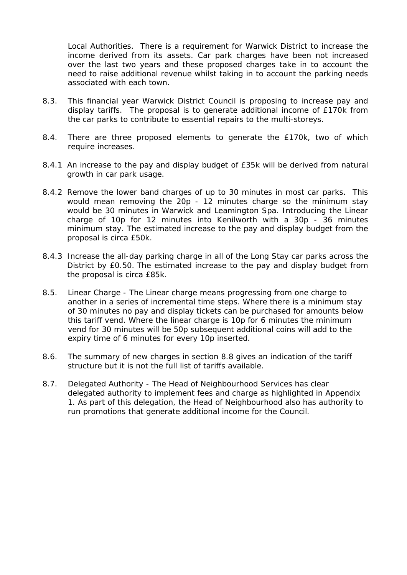Local Authorities. There is a requirement for Warwick District to increase the income derived from its assets. Car park charges have been not increased over the last two years and these proposed charges take in to account the need to raise additional revenue whilst taking in to account the parking needs associated with each town.

- 8.3. This financial year Warwick District Council is proposing to increase pay and display tariffs. The proposal is to generate additional income of £170k from the car parks to contribute to essential repairs to the multi-storeys.
- 8.4. There are three proposed elements to generate the £170k, two of which require increases.
- 8.4.1 An increase to the pay and display budget of £35k will be derived from natural growth in car park usage.
- 8.4.2 Remove the lower band charges of up to 30 minutes in most car parks. This would mean removing the 20p - 12 minutes charge so the minimum stay would be 30 minutes in Warwick and Leamington Spa. Introducing the Linear charge of 10p for 12 minutes into Kenilworth with a 30p - 36 minutes minimum stay. The estimated increase to the pay and display budget from the proposal is circa £50k.
- 8.4.3 Increase the all-day parking charge in all of the Long Stay car parks across the District by £0.50. The estimated increase to the pay and display budget from the proposal is circa £85k.
- 8.5. Linear Charge The Linear charge means progressing from one charge to another in a series of incremental time steps. Where there is a minimum stay of 30 minutes no pay and display tickets can be purchased for amounts below this tariff vend. Where the linear charge is 10p for 6 minutes the minimum vend for 30 minutes will be 50p subsequent additional coins will add to the expiry time of 6 minutes for every 10p inserted.
- 8.6. The summary of new charges in section 8.8 gives an indication of the tariff structure but it is not the full list of tariffs available.
- 8.7. Delegated Authority The Head of Neighbourhood Services has clear delegated authority to implement fees and charge as highlighted in Appendix 1. As part of this delegation, the Head of Neighbourhood also has authority to run promotions that generate additional income for the Council.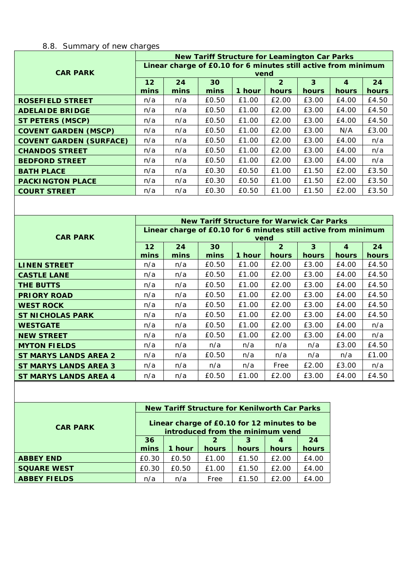# 8.8. Summary of new charges

|                                | <b>New Tariff Structure for Leamington Car Parks</b>           |      |       |        |                |              |                  |       |  |  |
|--------------------------------|----------------------------------------------------------------|------|-------|--------|----------------|--------------|------------------|-------|--|--|
|                                | Linear charge of £0.10 for 6 minutes still active from minimum |      |       |        |                |              |                  |       |  |  |
| <b>CAR PARK</b>                | vend                                                           |      |       |        |                |              |                  |       |  |  |
|                                | $12 \overline{ }$                                              | 24   | 30    |        | $\overline{2}$ | 3            | $\boldsymbol{4}$ | 24    |  |  |
|                                | mins                                                           | mins | mins  | 1 hour | hours          | <b>hours</b> | hours            | hours |  |  |
| <b>ROSEFIELD STREET</b>        | n/a                                                            | n/a  | £0.50 | £1.00  | £2.00          | £3.00        | £4.00            | £4.50 |  |  |
| <b>ADELAIDE BRIDGE</b>         | n/a                                                            | n/a  | £0.50 | £1.00  | £2.00          | £3.00        | £4.00            | £4.50 |  |  |
| <b>ST PETERS (MSCP)</b>        | n/a                                                            | n/a  | £0.50 | £1.00  | £2.00          | £3.00        | £4.00            | £4.50 |  |  |
| <b>COVENT GARDEN (MSCP)</b>    | n/a                                                            | n/a  | £0.50 | £1.00  | £2.00          | £3.00        | N/A              | £3.00 |  |  |
| <b>COVENT GARDEN (SURFACE)</b> | n/a                                                            | n/a  | £0.50 | £1.00  | £2.00          | £3.00        | £4.00            | n/a   |  |  |
| <b>CHANDOS STREET</b>          | n/a                                                            | n/a  | £0.50 | £1.00  | £2.00          | £3.00        | £4.00            | n/a   |  |  |
| <b>BEDFORD STREET</b>          | n/a                                                            | n/a  | £0.50 | £1.00  | £2.00          | £3.00        | £4.00            | n/a   |  |  |
| <b>BATH PLACE</b>              | n/a                                                            | n/a  | £0.30 | £0.50  | £1.00          | £1.50        | £2.00            | £3.50 |  |  |
| <b>PACKINGTON PLACE</b>        | n/a                                                            | n/a  | £0.30 | £0.50  | £1.00          | £1.50        | £2.00            | £3.50 |  |  |
| <b>COURT STREET</b>            | n/a                                                            | n/a  | £0.30 | £0.50  | £1.00          | £1.50        | £2.00            | £3.50 |  |  |

|                              | <b>New Tariff Structure for Warwick Car Parks</b>              |      |       |        |                |       |                         |       |  |  |
|------------------------------|----------------------------------------------------------------|------|-------|--------|----------------|-------|-------------------------|-------|--|--|
|                              | Linear charge of £0.10 for 6 minutes still active from minimum |      |       |        |                |       |                         |       |  |  |
| <b>CAR PARK</b>              | vend                                                           |      |       |        |                |       |                         |       |  |  |
|                              | 12                                                             | 24   | 30    |        | $\overline{2}$ | 3     | $\overline{\mathbf{4}}$ | 24    |  |  |
|                              | mins                                                           | mins | mins  | 1 hour | <b>hours</b>   | hours | hours                   | hours |  |  |
| <b>LINEN STREET</b>          | n/a                                                            | n/a  | £0.50 | £1.00  | £2.00          | £3.00 | £4.00                   | £4.50 |  |  |
| <b>CASTLE LANE</b>           | n/a                                                            | n/a  | £0.50 | £1.00  | £2.00          | £3.00 | £4.00                   | £4.50 |  |  |
| <b>THE BUTTS</b>             | n/a                                                            | n/a  | £0.50 | £1.00  | £2.00          | £3.00 | £4.00                   | £4.50 |  |  |
| <b>PRIORY ROAD</b>           | n/a                                                            | n/a  | £0.50 | £1.00  | £2.00          | £3.00 | £4.00                   | £4.50 |  |  |
| <b>WEST ROCK</b>             | n/a                                                            | n/a  | £0.50 | £1.00  | £2.00          | £3.00 | £4.00                   | £4.50 |  |  |
| <b>ST NICHOLAS PARK</b>      | n/a                                                            | n/a  | £0.50 | £1.00  | £2.00          | £3.00 | £4.00                   | £4.50 |  |  |
| <b>WESTGATE</b>              | n/a                                                            | n/a  | £0.50 | £1.00  | £2.00          | £3.00 | £4.00                   | n/a   |  |  |
| <b>NEW STREET</b>            | n/a                                                            | n/a  | £0.50 | £1.00  | £2.00          | £3.00 | £4.00                   | n/a   |  |  |
| <b>MYTON FIELDS</b>          | n/a                                                            | n/a  | n/a   | n/a    | n/a            | n/a   | £3.00                   | £4.50 |  |  |
| <b>ST MARYS LANDS AREA 2</b> | n/a                                                            | n/a  | £0.50 | n/a    | n/a            | n/a   | n/a                     | £1.00 |  |  |
| <b>ST MARYS LANDS AREA 3</b> | n/a                                                            | n/a  | n/a   | n/a    | Free           | £2.00 | £3.00                   | n/a   |  |  |
| <b>ST MARYS LANDS AREA 4</b> | n/a                                                            | n/a  | £0.50 | £1.00  | £2.00          | £3.00 | £4.00                   | £4.50 |  |  |

|                     | New Tariff Structure for Kenilworth Car Parks                                   |        |              |              |       |       |  |
|---------------------|---------------------------------------------------------------------------------|--------|--------------|--------------|-------|-------|--|
| <b>CAR PARK</b>     | Linear charge of £0.10 for 12 minutes to be<br>introduced from the minimum vend |        |              |              |       |       |  |
|                     | 36                                                                              |        | 2            | 3            |       | 24    |  |
|                     | mins                                                                            | 1 hour | <b>hours</b> | <b>hours</b> | hours | hours |  |
| <b>ABBEY END</b>    | £0.30                                                                           | £0.50  | £1.00        | £1.50        | £2.00 | £4.00 |  |
| <b>SQUARE WEST</b>  | £0.30                                                                           | £0.50  | £1.00        | £1.50        | £2.00 | £4.00 |  |
| <b>ABBEY FIELDS</b> | n/a                                                                             | n/a    | Free         | £1.50        | £2.00 | £4.00 |  |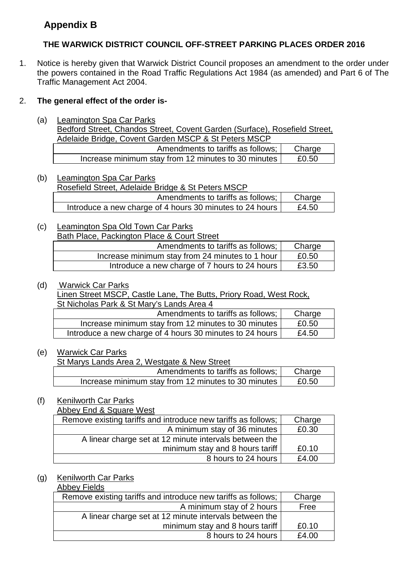# **Appendix B**

## **THE WARWICK DISTRICT COUNCIL OFF-STREET PARKING PLACES ORDER 2016**

1. Notice is hereby given that Warwick District Council proposes an amendment to the order under the powers contained in the Road Traffic Regulations Act 1984 (as amended) and Part 6 of The Traffic Management Act 2004.

## 2. **The general effect of the order is-**

(a) Leamington Spa Car Parks

Bedford Street, Chandos Street, Covent Garden (Surface), Rosefield Street, Adelaide Bridge, Covent Garden MSCP & St Peters MSCP

| <u>NUCHUNG DHUUC. OOYUHI OUNGH MOOL WOLL CICID MOOL</u> |        |
|---------------------------------------------------------|--------|
| Amendments to tariffs as follows;                       | Charge |
| Increase minimum stay from 12 minutes to 30 minutes     | £0.50  |

- (b) Leamington Spa Car Parks Rosefield Street, Adelaide Bridge & St Peters MSCP Amendments to tariffs as follows;  $\vert$  Charge Introduce a new charge of 4 hours 30 minutes to 24 hours  $\vert$  £4.50
- (c) Leamington Spa Old Town Car Parks

|--|

| Amendments to tariffs as follows;               | Charge |
|-------------------------------------------------|--------|
| Increase minimum stay from 24 minutes to 1 hour | £0.50  |
| Introduce a new charge of 7 hours to 24 hours   | £3.50  |

## (d) Warwick Car Parks

Linen Street MSCP, Castle Lane, The Butts, Priory Road, West Rock, St Nicholas Park & St Mary's Lands Area 4

| Amendments to tariffs as follows;                        | Charge |
|----------------------------------------------------------|--------|
| Increase minimum stay from 12 minutes to 30 minutes      | £0.50  |
| Introduce a new charge of 4 hours 30 minutes to 24 hours | £4.50  |

## (e) Warwick Car Parks

St Marys Lands Area 2, Westgate & New Street

| Amendments to tariffs as follows; I                 | Charge |
|-----------------------------------------------------|--------|
| Increase minimum stay from 12 minutes to 30 minutes | £0.50  |

## (f) Kenilworth Car Parks

**Abbey End & Square West** 

| Remove existing tariffs and introduce new tariffs as follows; | Charge |
|---------------------------------------------------------------|--------|
| A minimum stay of 36 minutes                                  | £0.30  |
| A linear charge set at 12 minute intervals between the        |        |
| minimum stay and 8 hours tariff                               | £0.10  |
| 8 hours to 24 hours                                           | £4.00  |

## (g) Kenilworth Car Parks

### Abbey Fields

| Remove existing tariffs and introduce new tariffs as follows; | Charge |
|---------------------------------------------------------------|--------|
| A minimum stay of 2 hours                                     | Free   |
| A linear charge set at 12 minute intervals between the        |        |
| minimum stay and 8 hours tariff                               | £0.10  |
| 8 hours to 24 hours                                           | £4.00  |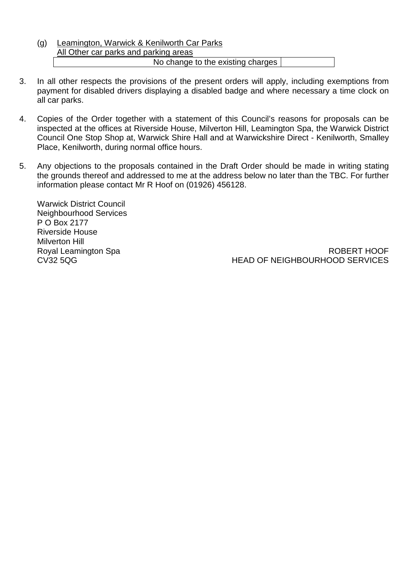## (g) Leamington, Warwick & Kenilworth Car Parks All Other car parks and parking areas No change to the existing charges

- 3. In all other respects the provisions of the present orders will apply, including exemptions from payment for disabled drivers displaying a disabled badge and where necessary a time clock on all car parks.
- 4. Copies of the Order together with a statement of this Council's reasons for proposals can be inspected at the offices at Riverside House, Milverton Hill, Leamington Spa, the Warwick District Council One Stop Shop at, Warwick Shire Hall and at Warwickshire Direct - Kenilworth, Smalley Place, Kenilworth, during normal office hours.
- 5. Any objections to the proposals contained in the Draft Order should be made in writing stating the grounds thereof and addressed to me at the address below no later than the TBC. For further information please contact Mr R Hoof on (01926) 456128.

Warwick District Council Neighbourhood Services P O Box 2177 Riverside House Milverton Hill Royal Leamington Spa CV32 5QG

ROBERT HOOF HEAD OF NEIGHBOURHOOD SERVICES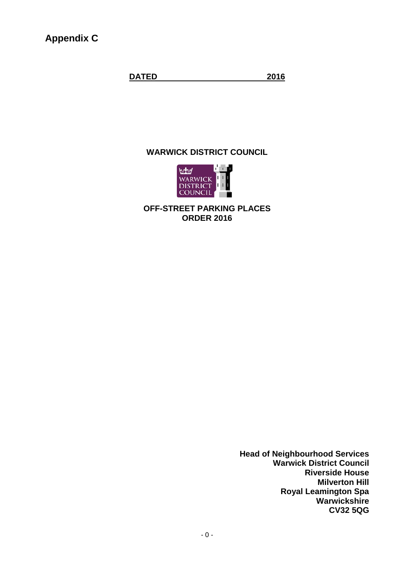**Appendix C**

**DATED 2016**

### **WARWICK DISTRICT COUNCIL**



**OFF-STREET PARKING PLACES ORDER 2016**

> **Head of Neighbourhood Services Warwick District Council Riverside House Milverton Hill Royal Leamington Spa Warwickshire CV32 5QG**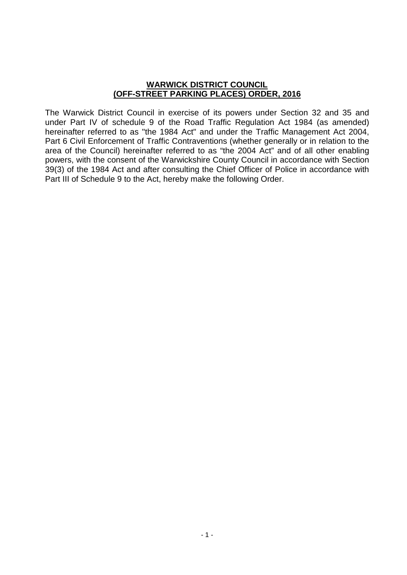### **WARWICK DISTRICT COUNCIL (OFF-STREET PARKING PLACES) ORDER, 2016**

The Warwick District Council in exercise of its powers under Section 32 and 35 and under Part IV of schedule 9 of the Road Traffic Regulation Act 1984 (as amended) hereinafter referred to as "the 1984 Act" and under the Traffic Management Act 2004, Part 6 Civil Enforcement of Traffic Contraventions (whether generally or in relation to the area of the Council) hereinafter referred to as "the 2004 Act" and of all other enabling powers, with the consent of the Warwickshire County Council in accordance with Section 39(3) of the 1984 Act and after consulting the Chief Officer of Police in accordance with Part III of Schedule 9 to the Act, hereby make the following Order.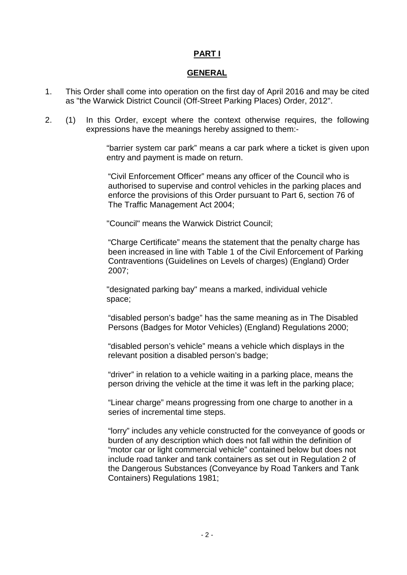## **PART I**

#### **GENERAL**

- 1. This Order shall come into operation on the first day of April 2016 and may be cited as "the Warwick District Council (Off-Street Parking Places) Order, 2012".
- 2. (1) In this Order, except where the context otherwise requires, the following expressions have the meanings hereby assigned to them:-

"barrier system car park" means a car park where a ticket is given upon entry and payment is made on return.

"Civil Enforcement Officer" means any officer of the Council who is authorised to supervise and control vehicles in the parking places and enforce the provisions of this Order pursuant to Part 6, section 76 of The Traffic Management Act 2004;

"Council" means the Warwick District Council;

"Charge Certificate" means the statement that the penalty charge has been increased in line with Table 1 of the Civil Enforcement of Parking Contraventions (Guidelines on Levels of charges) (England) Order 2007;

"designated parking bay" means a marked, individual vehicle space;

"disabled person's badge" has the same meaning as in The Disabled Persons (Badges for Motor Vehicles) (England) Regulations 2000;

"disabled person's vehicle" means a vehicle which displays in the relevant position a disabled person's badge;

"driver" in relation to a vehicle waiting in a parking place, means the person driving the vehicle at the time it was left in the parking place;

"Linear charge" means progressing from one charge to another in a series of incremental time steps.

"lorry" includes any vehicle constructed for the conveyance of goods or burden of any description which does not fall within the definition of "motor car or light commercial vehicle" contained below but does not include road tanker and tank containers as set out in Regulation 2 of the Dangerous Substances (Conveyance by Road Tankers and Tank Containers) Regulations 1981;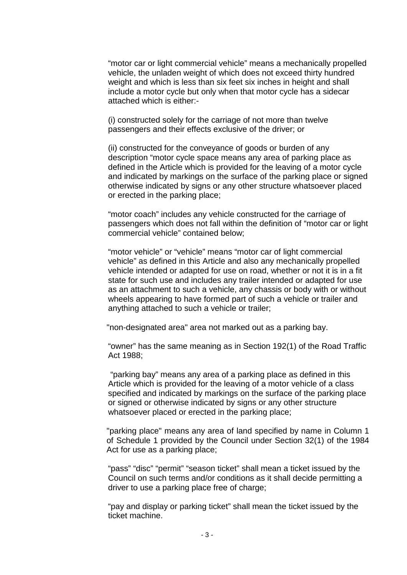"motor car or light commercial vehicle" means a mechanically propelled vehicle, the unladen weight of which does not exceed thirty hundred weight and which is less than six feet six inches in height and shall include a motor cycle but only when that motor cycle has a sidecar attached which is either:-

(i) constructed solely for the carriage of not more than twelve passengers and their effects exclusive of the driver; or

(ii) constructed for the conveyance of goods or burden of any description "motor cycle space means any area of parking place as defined in the Article which is provided for the leaving of a motor cycle and indicated by markings on the surface of the parking place or signed otherwise indicated by signs or any other structure whatsoever placed or erected in the parking place;

"motor coach" includes any vehicle constructed for the carriage of passengers which does not fall within the definition of "motor car or light commercial vehicle" contained below;

"motor vehicle" or "vehicle" means "motor car of light commercial vehicle" as defined in this Article and also any mechanically propelled vehicle intended or adapted for use on road, whether or not it is in a fit state for such use and includes any trailer intended or adapted for use as an attachment to such a vehicle, any chassis or body with or without wheels appearing to have formed part of such a vehicle or trailer and anything attached to such a vehicle or trailer;

"non-designated area" area not marked out as a parking bay.

"owner" has the same meaning as in Section 192(1) of the Road Traffic Act 1988;

"parking bay" means any area of a parking place as defined in this Article which is provided for the leaving of a motor vehicle of a class specified and indicated by markings on the surface of the parking place or signed or otherwise indicated by signs or any other structure whatsoever placed or erected in the parking place;

"parking place" means any area of land specified by name in Column 1 of Schedule 1 provided by the Council under Section 32(1) of the 1984 Act for use as a parking place;

"pass" "disc" "permit" "season ticket" shall mean a ticket issued by the Council on such terms and/or conditions as it shall decide permitting a driver to use a parking place free of charge;

"pay and display or parking ticket" shall mean the ticket issued by the ticket machine.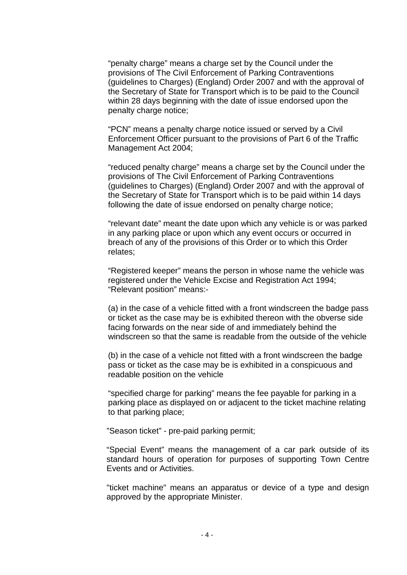"penalty charge" means a charge set by the Council under the provisions of The Civil Enforcement of Parking Contraventions (guidelines to Charges) (England) Order 2007 and with the approval of the Secretary of State for Transport which is to be paid to the Council within 28 days beginning with the date of issue endorsed upon the penalty charge notice;

"PCN" means a penalty charge notice issued or served by a Civil Enforcement Officer pursuant to the provisions of Part 6 of the Traffic Management Act 2004;

"reduced penalty charge" means a charge set by the Council under the provisions of The Civil Enforcement of Parking Contraventions (guidelines to Charges) (England) Order 2007 and with the approval of the Secretary of State for Transport which is to be paid within 14 days following the date of issue endorsed on penalty charge notice;

"relevant date" meant the date upon which any vehicle is or was parked in any parking place or upon which any event occurs or occurred in breach of any of the provisions of this Order or to which this Order relates;

"Registered keeper" means the person in whose name the vehicle was registered under the Vehicle Excise and Registration Act 1994; "Relevant position" means:-

(a) in the case of a vehicle fitted with a front windscreen the badge pass or ticket as the case may be is exhibited thereon with the obverse side facing forwards on the near side of and immediately behind the windscreen so that the same is readable from the outside of the vehicle

(b) in the case of a vehicle not fitted with a front windscreen the badge pass or ticket as the case may be is exhibited in a conspicuous and readable position on the vehicle

"specified charge for parking" means the fee payable for parking in a parking place as displayed on or adjacent to the ticket machine relating to that parking place;

"Season ticket" - pre-paid parking permit;

"Special Event" means the management of a car park outside of its standard hours of operation for purposes of supporting Town Centre Events and or Activities.

"ticket machine" means an apparatus or device of a type and design approved by the appropriate Minister.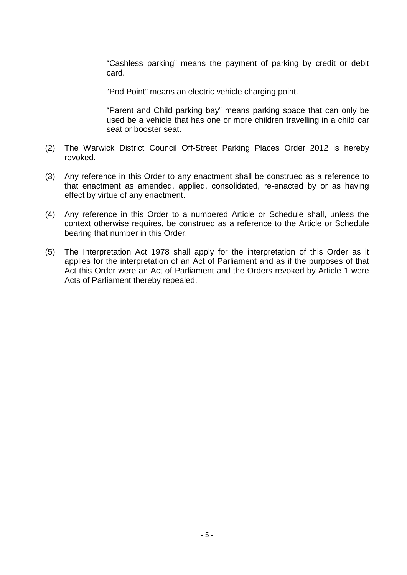"Cashless parking" means the payment of parking by credit or debit card.

"Pod Point" means an electric vehicle charging point.

"Parent and Child parking bay" means parking space that can only be used be a vehicle that has one or more children travelling in a child car seat or booster seat.

- (2) The Warwick District Council Off-Street Parking Places Order 2012 is hereby revoked.
- (3) Any reference in this Order to any enactment shall be construed as a reference to that enactment as amended, applied, consolidated, re-enacted by or as having effect by virtue of any enactment.
- (4) Any reference in this Order to a numbered Article or Schedule shall, unless the context otherwise requires, be construed as a reference to the Article or Schedule bearing that number in this Order.
- (5) The Interpretation Act 1978 shall apply for the interpretation of this Order as it applies for the interpretation of an Act of Parliament and as if the purposes of that Act this Order were an Act of Parliament and the Orders revoked by Article 1 were Acts of Parliament thereby repealed.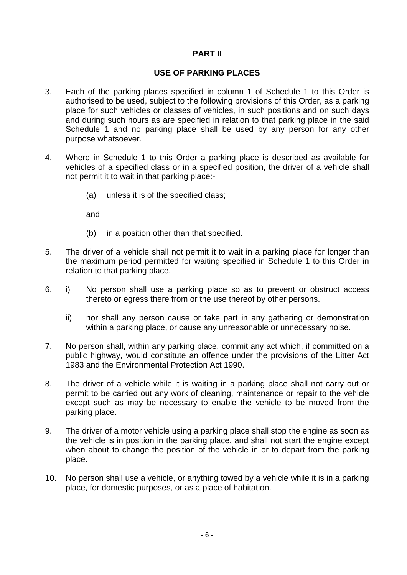## **PART II**

## **USE OF PARKING PLACES**

- 3. Each of the parking places specified in column 1 of Schedule 1 to this Order is authorised to be used, subject to the following provisions of this Order, as a parking place for such vehicles or classes of vehicles, in such positions and on such days and during such hours as are specified in relation to that parking place in the said Schedule 1 and no parking place shall be used by any person for any other purpose whatsoever.
- 4. Where in Schedule 1 to this Order a parking place is described as available for vehicles of a specified class or in a specified position, the driver of a vehicle shall not permit it to wait in that parking place:-
	- (a) unless it is of the specified class;

and

- (b) in a position other than that specified.
- 5. The driver of a vehicle shall not permit it to wait in a parking place for longer than the maximum period permitted for waiting specified in Schedule 1 to this Order in relation to that parking place.
- 6. i) No person shall use a parking place so as to prevent or obstruct access thereto or egress there from or the use thereof by other persons.
	- ii) nor shall any person cause or take part in any gathering or demonstration within a parking place, or cause any unreasonable or unnecessary noise.
- 7. No person shall, within any parking place, commit any act which, if committed on a public highway, would constitute an offence under the provisions of the Litter Act 1983 and the Environmental Protection Act 1990.
- 8. The driver of a vehicle while it is waiting in a parking place shall not carry out or permit to be carried out any work of cleaning, maintenance or repair to the vehicle except such as may be necessary to enable the vehicle to be moved from the parking place.
- 9. The driver of a motor vehicle using a parking place shall stop the engine as soon as the vehicle is in position in the parking place, and shall not start the engine except when about to change the position of the vehicle in or to depart from the parking place.
- 10. No person shall use a vehicle, or anything towed by a vehicle while it is in a parking place, for domestic purposes, or as a place of habitation.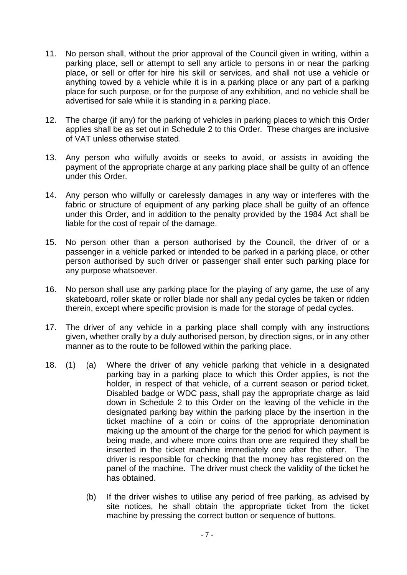- 11. No person shall, without the prior approval of the Council given in writing, within a parking place, sell or attempt to sell any article to persons in or near the parking place, or sell or offer for hire his skill or services, and shall not use a vehicle or anything towed by a vehicle while it is in a parking place or any part of a parking place for such purpose, or for the purpose of any exhibition, and no vehicle shall be advertised for sale while it is standing in a parking place.
- 12. The charge (if any) for the parking of vehicles in parking places to which this Order applies shall be as set out in Schedule 2 to this Order. These charges are inclusive of VAT unless otherwise stated.
- 13. Any person who wilfully avoids or seeks to avoid, or assists in avoiding the payment of the appropriate charge at any parking place shall be guilty of an offence under this Order.
- 14. Any person who wilfully or carelessly damages in any way or interferes with the fabric or structure of equipment of any parking place shall be guilty of an offence under this Order, and in addition to the penalty provided by the 1984 Act shall be liable for the cost of repair of the damage.
- 15. No person other than a person authorised by the Council, the driver of or a passenger in a vehicle parked or intended to be parked in a parking place, or other person authorised by such driver or passenger shall enter such parking place for any purpose whatsoever.
- 16. No person shall use any parking place for the playing of any game, the use of any skateboard, roller skate or roller blade nor shall any pedal cycles be taken or ridden therein, except where specific provision is made for the storage of pedal cycles.
- 17. The driver of any vehicle in a parking place shall comply with any instructions given, whether orally by a duly authorised person, by direction signs, or in any other manner as to the route to be followed within the parking place.
- 18. (1) (a) Where the driver of any vehicle parking that vehicle in a designated parking bay in a parking place to which this Order applies, is not the holder, in respect of that vehicle, of a current season or period ticket, Disabled badge or WDC pass, shall pay the appropriate charge as laid down in Schedule 2 to this Order on the leaving of the vehicle in the designated parking bay within the parking place by the insertion in the ticket machine of a coin or coins of the appropriate denomination making up the amount of the charge for the period for which payment is being made, and where more coins than one are required they shall be inserted in the ticket machine immediately one after the other. The driver is responsible for checking that the money has registered on the panel of the machine. The driver must check the validity of the ticket he has obtained.
	- (b) If the driver wishes to utilise any period of free parking, as advised by site notices, he shall obtain the appropriate ticket from the ticket machine by pressing the correct button or sequence of buttons.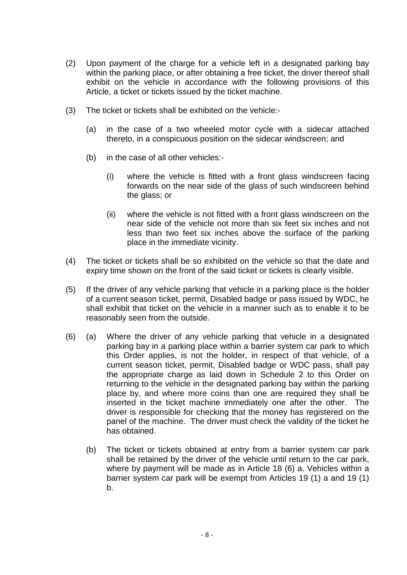- (2) Upon payment of the charge for a vehicle left in a designated parking bay within the parking place, or after obtaining a free ticket, the driver thereof shall exhibit on the vehicle in accordance with the following provisions of this Article, a ticket or tickets issued by the ticket machine.
- (3) The ticket or tickets shall be exhibited on the vehicle:-
	- (a) in the case of a two wheeled motor cycle with a sidecar attached thereto, in a conspicuous position on the sidecar windscreen; and
	- (b) in the case of all other vehicles:-
		- (i) where the vehicle is fitted with a front glass windscreen facing forwards on the near side of the glass of such windscreen behind the glass; or
		- (ii) where the vehicle is not fitted with a front glass windscreen on the near side of the vehicle not more than six feet six inches and not less than two feet six inches above the surface of the parking place in the immediate vicinity.
- (4) The ticket or tickets shall be so exhibited on the vehicle so that the date and expiry time shown on the front of the said ticket or tickets is clearly visible.
- (5) If the driver of any vehicle parking that vehicle in a parking place is the holder of a current season ticket, permit, Disabled badge or pass issued by WDC, he shall exhibit that ticket on the vehicle in a manner such as to enable it to be reasonably seen from the outside.
- (6) (a) Where the driver of any vehicle parking that vehicle in a designated parking bay in a parking place within a barrier system car park to which this Order applies, is not the holder, in respect of that vehicle, of a current season ticket, permit, Disabled badge or WDC pass, shall pay the appropriate charge as laid down in Schedule 2 to this Order on returning to the vehicle in the designated parking bay within the parking place by, and where more coins than one are required they shall be inserted in the ticket machine immediately one after the other. The driver is responsible for checking that the money has registered on the panel of the machine. The driver must check the validity of the ticket he has obtained.
	- (b) The ticket or tickets obtained at entry from a barrier system car park shall be retained by the driver of the vehicle until return to the car park, where by payment will be made as in Article 18 (6) a. Vehicles within a barrier system car park will be exempt from Articles 19 (1) a and 19 (1) b.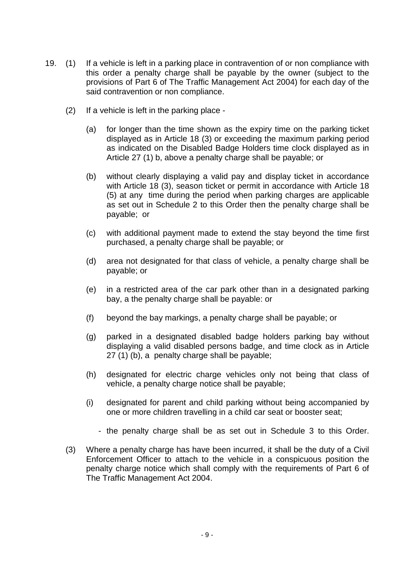- 19. (1) If a vehicle is left in a parking place in contravention of or non compliance with this order a penalty charge shall be payable by the owner (subject to the provisions of Part 6 of The Traffic Management Act 2004) for each day of the said contravention or non compliance.
	- (2) If a vehicle is left in the parking place
		- (a) for longer than the time shown as the expiry time on the parking ticket displayed as in Article 18 (3) or exceeding the maximum parking period as indicated on the Disabled Badge Holders time clock displayed as in Article 27 (1) b, above a penalty charge shall be payable; or
		- (b) without clearly displaying a valid pay and display ticket in accordance with Article 18 (3), season ticket or permit in accordance with Article 18 (5) at any time during the period when parking charges are applicable as set out in Schedule 2 to this Order then the penalty charge shall be payable; or
		- (c) with additional payment made to extend the stay beyond the time first purchased, a penalty charge shall be payable; or
		- (d) area not designated for that class of vehicle, a penalty charge shall be payable; or
		- (e) in a restricted area of the car park other than in a designated parking bay, a the penalty charge shall be payable: or
		- (f) beyond the bay markings, a penalty charge shall be payable; or
		- (g) parked in a designated disabled badge holders parking bay without displaying a valid disabled persons badge, and time clock as in Article 27 (1) (b), a penalty charge shall be payable;
		- (h) designated for electric charge vehicles only not being that class of vehicle, a penalty charge notice shall be payable;
		- (i) designated for parent and child parking without being accompanied by one or more children travelling in a child car seat or booster seat;
			- the penalty charge shall be as set out in Schedule 3 to this Order.
	- (3) Where a penalty charge has have been incurred, it shall be the duty of a Civil Enforcement Officer to attach to the vehicle in a conspicuous position the penalty charge notice which shall comply with the requirements of Part 6 of The Traffic Management Act 2004.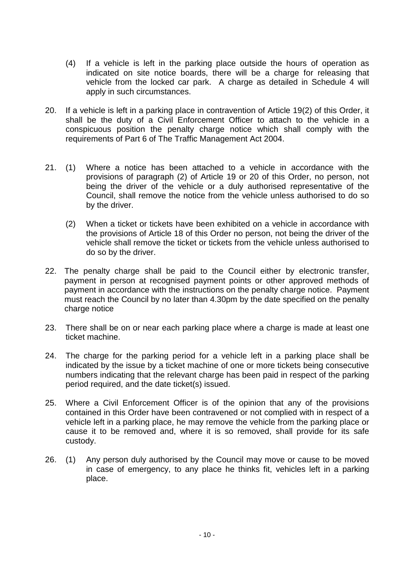- (4) If a vehicle is left in the parking place outside the hours of operation as indicated on site notice boards, there will be a charge for releasing that vehicle from the locked car park. A charge as detailed in Schedule 4 will apply in such circumstances.
- 20. If a vehicle is left in a parking place in contravention of Article 19(2) of this Order, it shall be the duty of a Civil Enforcement Officer to attach to the vehicle in a conspicuous position the penalty charge notice which shall comply with the requirements of Part 6 of The Traffic Management Act 2004.
- 21. (1) Where a notice has been attached to a vehicle in accordance with the provisions of paragraph (2) of Article 19 or 20 of this Order, no person, not being the driver of the vehicle or a duly authorised representative of the Council, shall remove the notice from the vehicle unless authorised to do so by the driver.
	- (2) When a ticket or tickets have been exhibited on a vehicle in accordance with the provisions of Article 18 of this Order no person, not being the driver of the vehicle shall remove the ticket or tickets from the vehicle unless authorised to do so by the driver.
- 22. The penalty charge shall be paid to the Council either by electronic transfer, payment in person at recognised payment points or other approved methods of payment in accordance with the instructions on the penalty charge notice. Payment must reach the Council by no later than 4.30pm by the date specified on the penalty charge notice
- 23. There shall be on or near each parking place where a charge is made at least one ticket machine.
- 24. The charge for the parking period for a vehicle left in a parking place shall be indicated by the issue by a ticket machine of one or more tickets being consecutive numbers indicating that the relevant charge has been paid in respect of the parking period required, and the date ticket(s) issued.
- 25. Where a Civil Enforcement Officer is of the opinion that any of the provisions contained in this Order have been contravened or not complied with in respect of a vehicle left in a parking place, he may remove the vehicle from the parking place or cause it to be removed and, where it is so removed, shall provide for its safe custody.
- 26. (1) Any person duly authorised by the Council may move or cause to be moved in case of emergency, to any place he thinks fit, vehicles left in a parking place.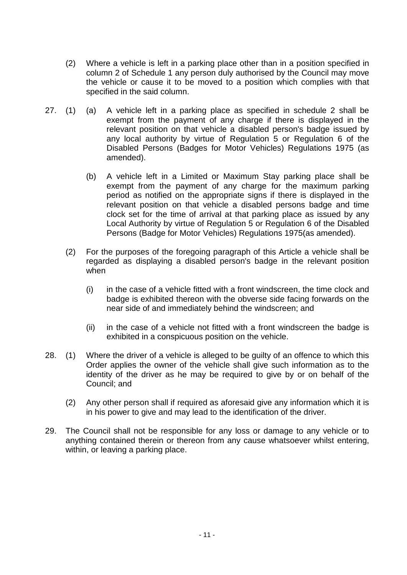- (2) Where a vehicle is left in a parking place other than in a position specified in column 2 of Schedule 1 any person duly authorised by the Council may move the vehicle or cause it to be moved to a position which complies with that specified in the said column.
- 27. (1) (a) A vehicle left in a parking place as specified in schedule 2 shall be exempt from the payment of any charge if there is displayed in the relevant position on that vehicle a disabled person's badge issued by any local authority by virtue of Regulation 5 or Regulation 6 of the Disabled Persons (Badges for Motor Vehicles) Regulations 1975 (as amended).
	- (b) A vehicle left in a Limited or Maximum Stay parking place shall be exempt from the payment of any charge for the maximum parking period as notified on the appropriate signs if there is displayed in the relevant position on that vehicle a disabled persons badge and time clock set for the time of arrival at that parking place as issued by any Local Authority by virtue of Regulation 5 or Regulation 6 of the Disabled Persons (Badge for Motor Vehicles) Regulations 1975(as amended).
	- (2) For the purposes of the foregoing paragraph of this Article a vehicle shall be regarded as displaying a disabled person's badge in the relevant position when
		- (i) in the case of a vehicle fitted with a front windscreen, the time clock and badge is exhibited thereon with the obverse side facing forwards on the near side of and immediately behind the windscreen; and
		- (ii) in the case of a vehicle not fitted with a front windscreen the badge is exhibited in a conspicuous position on the vehicle.
- 28. (1) Where the driver of a vehicle is alleged to be guilty of an offence to which this Order applies the owner of the vehicle shall give such information as to the identity of the driver as he may be required to give by or on behalf of the Council; and
	- (2) Any other person shall if required as aforesaid give any information which it is in his power to give and may lead to the identification of the driver.
- 29. The Council shall not be responsible for any loss or damage to any vehicle or to anything contained therein or thereon from any cause whatsoever whilst entering, within, or leaving a parking place.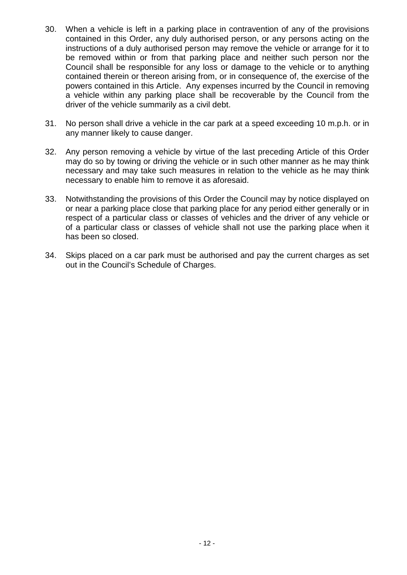- 30. When a vehicle is left in a parking place in contravention of any of the provisions contained in this Order, any duly authorised person, or any persons acting on the instructions of a duly authorised person may remove the vehicle or arrange for it to be removed within or from that parking place and neither such person nor the Council shall be responsible for any loss or damage to the vehicle or to anything contained therein or thereon arising from, or in consequence of, the exercise of the powers contained in this Article. Any expenses incurred by the Council in removing a vehicle within any parking place shall be recoverable by the Council from the driver of the vehicle summarily as a civil debt.
- 31. No person shall drive a vehicle in the car park at a speed exceeding 10 m.p.h. or in any manner likely to cause danger.
- 32. Any person removing a vehicle by virtue of the last preceding Article of this Order may do so by towing or driving the vehicle or in such other manner as he may think necessary and may take such measures in relation to the vehicle as he may think necessary to enable him to remove it as aforesaid.
- 33. Notwithstanding the provisions of this Order the Council may by notice displayed on or near a parking place close that parking place for any period either generally or in respect of a particular class or classes of vehicles and the driver of any vehicle or of a particular class or classes of vehicle shall not use the parking place when it has been so closed.
- 34. Skips placed on a car park must be authorised and pay the current charges as set out in the Council's Schedule of Charges.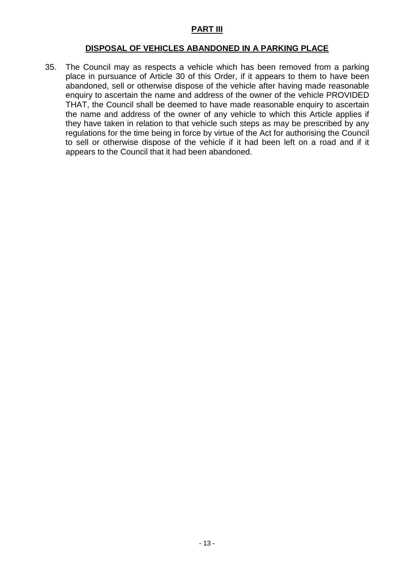## **PART III**

### **DISPOSAL OF VEHICLES ABANDONED IN A PARKING PLACE**

35. The Council may as respects a vehicle which has been removed from a parking place in pursuance of Article 30 of this Order, if it appears to them to have been abandoned, sell or otherwise dispose of the vehicle after having made reasonable enquiry to ascertain the name and address of the owner of the vehicle PROVIDED THAT, the Council shall be deemed to have made reasonable enquiry to ascertain the name and address of the owner of any vehicle to which this Article applies if they have taken in relation to that vehicle such steps as may be prescribed by any regulations for the time being in force by virtue of the Act for authorising the Council to sell or otherwise dispose of the vehicle if it had been left on a road and if it appears to the Council that it had been abandoned.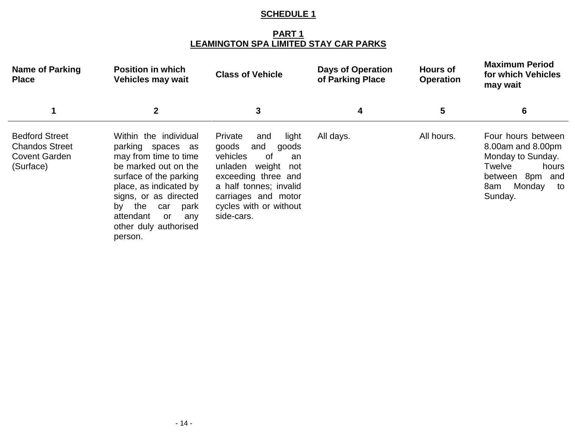**PART 1 LEAMINGTON SPA LIMITED STAY CAR PARKS**

| <b>Name of Parking</b><br><b>Place</b>                                              | <b>Position in which</b><br><b>Vehicles may wait</b>                                                                                                                                                                                                               | <b>Class of Vehicle</b>                                                                                                                                                                                           | <b>Days of Operation</b><br>of Parking Place | <b>Hours of</b><br><b>Operation</b> | <b>Maximum Period</b><br>for which Vehicles<br>may wait                                                                                        |
|-------------------------------------------------------------------------------------|--------------------------------------------------------------------------------------------------------------------------------------------------------------------------------------------------------------------------------------------------------------------|-------------------------------------------------------------------------------------------------------------------------------------------------------------------------------------------------------------------|----------------------------------------------|-------------------------------------|------------------------------------------------------------------------------------------------------------------------------------------------|
|                                                                                     | $\mathbf 2$                                                                                                                                                                                                                                                        | 3                                                                                                                                                                                                                 | 4                                            | 5                                   | 6                                                                                                                                              |
| <b>Bedford Street</b><br><b>Chandos Street</b><br><b>Covent Garden</b><br>(Surface) | Within the individual<br>parking spaces as<br>may from time to time<br>be marked out on the<br>surface of the parking<br>place, as indicated by<br>signs, or as directed<br>the<br>by<br>park<br>car<br>attendant<br>or<br>any<br>other duly authorised<br>person. | Private<br>light<br>and<br>goods<br>and<br>goods<br>vehicles<br>of<br>an<br>unladen<br>weight not<br>exceeding three and<br>a half tonnes; invalid<br>carriages and motor<br>cycles with or without<br>side-cars. | All days.                                    | All hours.                          | Four hours between<br>8.00am and 8.00pm<br>Monday to Sunday.<br><b>Twelve</b><br>hours<br>between<br>8pm and<br>Monday<br>8am<br>to<br>Sunday. |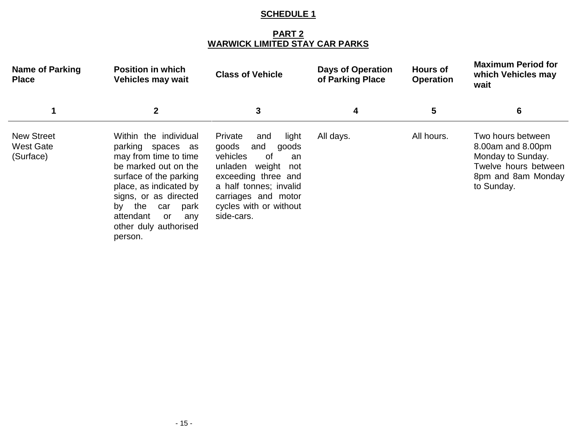## **PART 2 WARWICK LIMITED STAY CAR PARKS**

| <b>Name of Parking</b><br><b>Place</b>             | <b>Position in which</b><br><b>Vehicles may wait</b>                                                                                                                                                                                                               | <b>Class of Vehicle</b>                                                                                                                                                                                                | <b>Days of Operation</b><br>of Parking Place | <b>Hours of</b><br><b>Operation</b> | <b>Maximum Period for</b><br>which Vehicles may<br>wait                                                                 |
|----------------------------------------------------|--------------------------------------------------------------------------------------------------------------------------------------------------------------------------------------------------------------------------------------------------------------------|------------------------------------------------------------------------------------------------------------------------------------------------------------------------------------------------------------------------|----------------------------------------------|-------------------------------------|-------------------------------------------------------------------------------------------------------------------------|
|                                                    | $\mathbf{2}$                                                                                                                                                                                                                                                       | 3                                                                                                                                                                                                                      | 4                                            | 5                                   | 6                                                                                                                       |
| <b>New Street</b><br><b>West Gate</b><br>(Surface) | Within the individual<br>parking spaces as<br>may from time to time<br>be marked out on the<br>surface of the parking<br>place, as indicated by<br>signs, or as directed<br>the<br>by<br>park<br>car<br>attendant<br>or<br>any<br>other duly authorised<br>person. | Private<br>light<br>and<br>goods<br>and<br>goods<br>vehicles<br>. of<br>an<br>unladen<br>weight<br>not<br>exceeding three and<br>a half tonnes; invalid<br>carriages and motor<br>cycles with or without<br>side-cars. | All days.                                    | All hours.                          | Two hours between<br>8.00am and 8.00pm<br>Monday to Sunday.<br>Twelve hours between<br>8pm and 8am Monday<br>to Sunday. |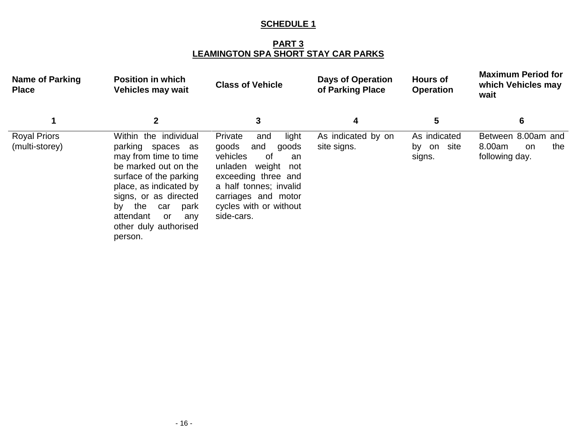**PART 3 LEAMINGTON SPA SHORT STAY CAR PARKS**

| <b>Name of Parking</b><br><b>Place</b> | <b>Position in which</b><br><b>Vehicles may wait</b>                                                                                                                                                                                                                | <b>Class of Vehicle</b>                                                                                                                                                                                                | <b>Days of Operation</b><br>of Parking Place | <b>Hours of</b><br><b>Operation</b>     | <b>Maximum Period for</b><br>which Vehicles may<br>wait            |
|----------------------------------------|---------------------------------------------------------------------------------------------------------------------------------------------------------------------------------------------------------------------------------------------------------------------|------------------------------------------------------------------------------------------------------------------------------------------------------------------------------------------------------------------------|----------------------------------------------|-----------------------------------------|--------------------------------------------------------------------|
|                                        |                                                                                                                                                                                                                                                                     | 3                                                                                                                                                                                                                      | 4                                            | 5                                       | 6                                                                  |
| <b>Royal Priors</b><br>(multi-storey)  | Within the individual<br>parking spaces as<br>may from time to time<br>be marked out on the<br>surface of the parking<br>place, as indicated by<br>signs, or as directed<br>the<br>by<br>park<br>car<br>attendant<br>or.<br>any<br>other duly authorised<br>person. | Private<br>light<br>and<br>goods<br>and<br>goods<br>vehicles<br>. of<br>an<br>unladen<br>weight<br>not<br>exceeding three and<br>a half tonnes; invalid<br>carriages and motor<br>cycles with or without<br>side-cars. | As indicated by on<br>site signs.            | As indicated<br>site<br>by on<br>signs. | Between 8.00am and<br>8.00am<br>the<br><b>on</b><br>following day. |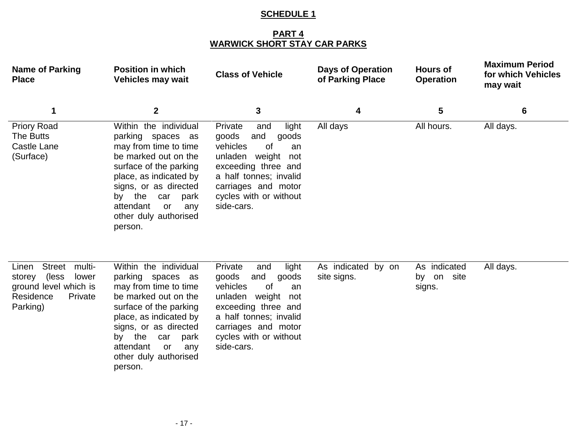## **PART 4 WARWICK SHORT STAY CAR PARKS**

| <b>Name of Parking</b><br><b>Place</b>                                                                                     | <b>Position in which</b><br>Vehicles may wait                                                                                                                                                                                                                      | <b>Class of Vehicle</b>                                                                                                                                                                                              | <b>Days of Operation</b><br>of Parking Place | <b>Hours of</b><br><b>Operation</b>        | <b>Maximum Period</b><br>for which Vehicles<br>may wait |
|----------------------------------------------------------------------------------------------------------------------------|--------------------------------------------------------------------------------------------------------------------------------------------------------------------------------------------------------------------------------------------------------------------|----------------------------------------------------------------------------------------------------------------------------------------------------------------------------------------------------------------------|----------------------------------------------|--------------------------------------------|---------------------------------------------------------|
| 1                                                                                                                          | $\boldsymbol{2}$                                                                                                                                                                                                                                                   | 3                                                                                                                                                                                                                    | 4                                            | 5                                          | 6                                                       |
| <b>Priory Road</b><br>The Butts<br>Castle Lane<br>(Surface)                                                                | Within the individual<br>parking spaces as<br>may from time to time<br>be marked out on the<br>surface of the parking<br>place, as indicated by<br>signs, or as directed<br>the<br>park<br>by<br>car<br>attendant<br>or<br>any<br>other duly authorised<br>person. | Private<br>light<br>and<br>goods<br>and<br>goods<br>vehicles<br>0f<br>an<br>unladen<br>weight<br>not<br>exceeding three and<br>a half tonnes; invalid<br>carriages and motor<br>cycles with or without<br>side-cars. | All days                                     | All hours.                                 | All days.                                               |
| <b>Street</b><br>multi-<br>Linen<br>(less)<br>storey<br>lower<br>ground level which is<br>Residence<br>Private<br>Parking) | Within the individual<br>parking spaces as<br>may from time to time<br>be marked out on the<br>surface of the parking<br>place, as indicated by<br>signs, or as directed<br>the<br>park<br>by<br>car<br>attendant<br>or<br>any<br>other duly authorised<br>person. | Private<br>light<br>and<br>and<br>goods<br>goods<br>vehicles<br>0f<br>an<br>unladen weight<br>not<br>exceeding three and<br>a half tonnes; invalid<br>carriages and motor<br>cycles with or without<br>side-cars.    | As indicated by on<br>site signs.            | As indicated<br>site<br>on<br>by<br>signs. | All days.                                               |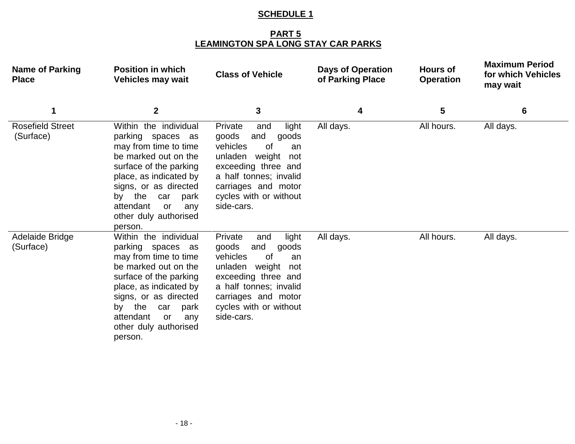### **PART 5 LEAMINGTON SPA LONG STAY CAR PARKS**

| <b>Name of Parking</b><br><b>Place</b> | <b>Position in which</b><br><b>Vehicles may wait</b>                                                                                                                                                                                                               | <b>Class of Vehicle</b>                                                                                                                                                                                           | <b>Days of Operation</b><br>of Parking Place | <b>Hours of</b><br><b>Operation</b> | <b>Maximum Period</b><br>for which Vehicles<br>may wait |
|----------------------------------------|--------------------------------------------------------------------------------------------------------------------------------------------------------------------------------------------------------------------------------------------------------------------|-------------------------------------------------------------------------------------------------------------------------------------------------------------------------------------------------------------------|----------------------------------------------|-------------------------------------|---------------------------------------------------------|
| 1                                      | $\mathbf{2}$                                                                                                                                                                                                                                                       | 3                                                                                                                                                                                                                 | 4                                            | 5                                   | 6                                                       |
| <b>Rosefield Street</b><br>(Surface)   | Within the individual<br>parking spaces as<br>may from time to time<br>be marked out on the<br>surface of the parking<br>place, as indicated by<br>signs, or as directed<br>the<br>car<br>park<br>by<br>attendant<br>or<br>any<br>other duly authorised<br>person. | Private<br>light<br>and<br>goods<br>and<br>goods<br>vehicles<br>0f<br>an<br>unladen weight<br>not<br>exceeding three and<br>a half tonnes; invalid<br>carriages and motor<br>cycles with or without<br>side-cars. | All days.                                    | All hours.                          | All days.                                               |
| Adelaide Bridge<br>(Surface)           | Within the individual<br>parking spaces as<br>may from time to time<br>be marked out on the<br>surface of the parking<br>place, as indicated by<br>signs, or as directed<br>by the<br>park<br>car<br>attendant<br>or<br>any<br>other duly authorised<br>person.    | light<br>Private<br>and<br>goods<br>and<br>goods<br>vehicles<br>0f<br>an<br>unladen weight<br>not<br>exceeding three and<br>a half tonnes; invalid<br>carriages and motor<br>cycles with or without<br>side-cars. | All days.                                    | All hours.                          | All days.                                               |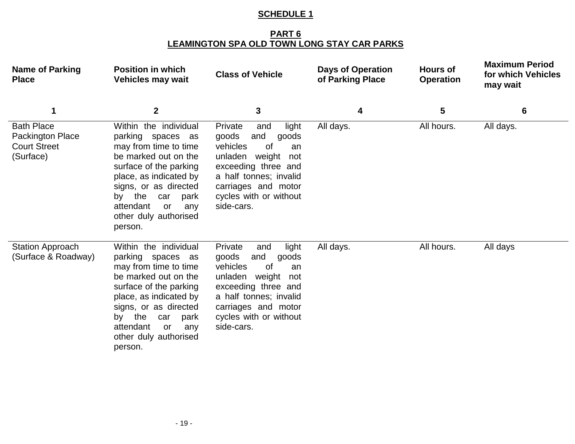### **PART 6 LEAMINGTON SPA OLD TOWN LONG STAY CAR PARKS**

| <b>Name of Parking</b><br><b>Place</b>                                    | <b>Position in which</b><br><b>Vehicles may wait</b>                                                                                                                                                                                                                      | <b>Class of Vehicle</b>                                                                                                                                                                                                     | <b>Days of Operation</b><br>of Parking Place | <b>Hours of</b><br><b>Operation</b> | <b>Maximum Period</b><br>for which Vehicles<br>may wait |
|---------------------------------------------------------------------------|---------------------------------------------------------------------------------------------------------------------------------------------------------------------------------------------------------------------------------------------------------------------------|-----------------------------------------------------------------------------------------------------------------------------------------------------------------------------------------------------------------------------|----------------------------------------------|-------------------------------------|---------------------------------------------------------|
|                                                                           | $\boldsymbol{2}$                                                                                                                                                                                                                                                          | 3                                                                                                                                                                                                                           | 4                                            | 5                                   | 6                                                       |
| <b>Bath Place</b><br>Packington Place<br><b>Court Street</b><br>(Surface) | Within the individual<br>parking spaces as<br>may from time to time<br>be marked out on the<br>surface of the parking<br>place, as indicated by<br>signs, or as directed<br>the<br>park<br>by<br>car<br>attendant<br><b>or</b><br>any<br>other duly authorised<br>person. | Private<br>light<br>and<br>goods<br>and<br>goods<br>vehicles<br><b>of</b><br>an<br>unladen<br>weight<br>not<br>exceeding three and<br>a half tonnes; invalid<br>carriages and motor<br>cycles with or without<br>side-cars. | All days.                                    | All hours.                          | All days.                                               |
| <b>Station Approach</b><br>(Surface & Roadway)                            | Within the individual<br>parking spaces as<br>may from time to time<br>be marked out on the<br>surface of the parking<br>place, as indicated by<br>signs, or as directed<br>the<br>park<br>by<br>car<br>attendant<br>or<br>any<br>other duly authorised<br>person.        | light<br>Private<br>and<br>and<br>goods<br>goods<br>vehicles<br><b>of</b><br>an<br>unladen<br>weight<br>not<br>exceeding three and<br>a half tonnes; invalid<br>carriages and motor<br>cycles with or without<br>side-cars. | All days.                                    | All hours.                          | All days                                                |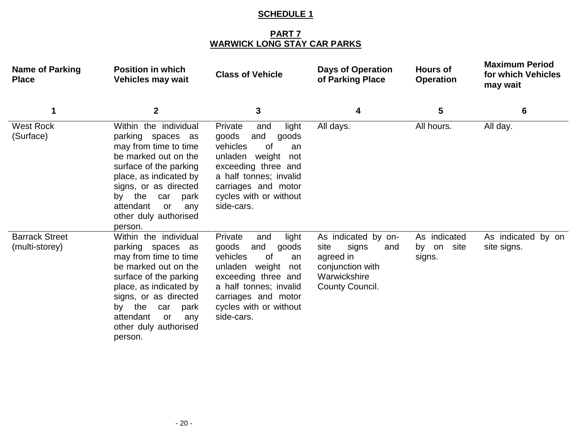### **PART 7 WARWICK LONG STAY CAR PARKS**

| <b>Name of Parking</b><br><b>Place</b>  | <b>Position in which</b><br><b>Vehicles may wait</b>                                                                                                                                                                                                                   | <b>Class of Vehicle</b>                                                                                                                                                                                                     | <b>Days of Operation</b><br>of Parking Place                                                                    | <b>Hours of</b><br><b>Operation</b>  | <b>Maximum Period</b><br>for which Vehicles<br>may wait |
|-----------------------------------------|------------------------------------------------------------------------------------------------------------------------------------------------------------------------------------------------------------------------------------------------------------------------|-----------------------------------------------------------------------------------------------------------------------------------------------------------------------------------------------------------------------------|-----------------------------------------------------------------------------------------------------------------|--------------------------------------|---------------------------------------------------------|
| 1                                       | $\boldsymbol{2}$                                                                                                                                                                                                                                                       | 3                                                                                                                                                                                                                           | 4                                                                                                               | 5                                    | 6                                                       |
| <b>West Rock</b><br>(Surface)           | Within the individual<br>parking spaces as<br>may from time to time<br>be marked out on the<br>surface of the parking<br>place, as indicated by<br>signs, or as directed<br>the<br>car<br>park<br>by<br>attendant<br>or<br>any<br>other duly authorised<br>person.     | Private<br>light<br>and<br>and<br>goods<br>goods<br>vehicles<br>0f<br>an<br>weight<br>unladen<br>not<br>exceeding three and<br>a half tonnes; invalid<br>carriages and motor<br>cycles with or without<br>side-cars.        | All days.                                                                                                       | All hours.                           | All day.                                                |
| <b>Barrack Street</b><br>(multi-storey) | Within the individual<br>parking spaces as<br>may from time to time<br>be marked out on the<br>surface of the parking<br>place, as indicated by<br>signs, or as directed<br>by the<br>car<br>park<br>attendant<br><b>or</b><br>any<br>other duly authorised<br>person. | Private<br>light<br>and<br>goods<br>and<br>goods<br>vehicles<br><b>of</b><br>an<br>unladen<br>weight<br>not<br>exceeding three and<br>a half tonnes; invalid<br>carriages and motor<br>cycles with or without<br>side-cars. | As indicated by on-<br>site<br>signs<br>and<br>agreed in<br>conjunction with<br>Warwickshire<br>County Council. | As indicated<br>by on site<br>signs. | As indicated by on<br>site signs.                       |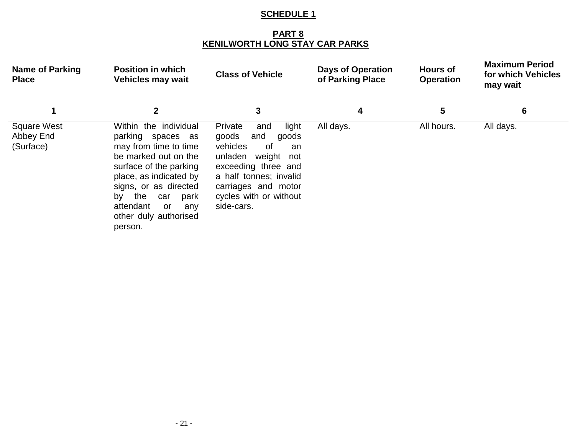## **PART 8 KENILWORTH LONG STAY CAR PARKS**

| <b>Name of Parking</b><br><b>Place</b>       | <b>Position in which</b><br><b>Vehicles may wait</b>                                                                                                                                                                                                               | <b>Class of Vehicle</b>                                                                                                                                                                                              | <b>Days of Operation</b><br>of Parking Place | <b>Hours of</b><br><b>Operation</b> | <b>Maximum Period</b><br>for which Vehicles<br>may wait |
|----------------------------------------------|--------------------------------------------------------------------------------------------------------------------------------------------------------------------------------------------------------------------------------------------------------------------|----------------------------------------------------------------------------------------------------------------------------------------------------------------------------------------------------------------------|----------------------------------------------|-------------------------------------|---------------------------------------------------------|
|                                              | $\mathbf{2}$                                                                                                                                                                                                                                                       | 3                                                                                                                                                                                                                    | 4                                            | 5                                   | 6                                                       |
| <b>Square West</b><br>Abbey End<br>(Surface) | Within the individual<br>parking spaces as<br>may from time to time<br>be marked out on the<br>surface of the parking<br>place, as indicated by<br>signs, or as directed<br>the<br>park<br>by<br>car<br>attendant<br>or<br>any<br>other duly authorised<br>person. | Private<br>light<br>and<br>goods<br>and<br>goods<br>vehicles<br>0f<br>an<br>unladen<br>weight<br>not<br>exceeding three and<br>a half tonnes; invalid<br>carriages and motor<br>cycles with or without<br>side-cars. | All days.                                    | All hours.                          | All days.                                               |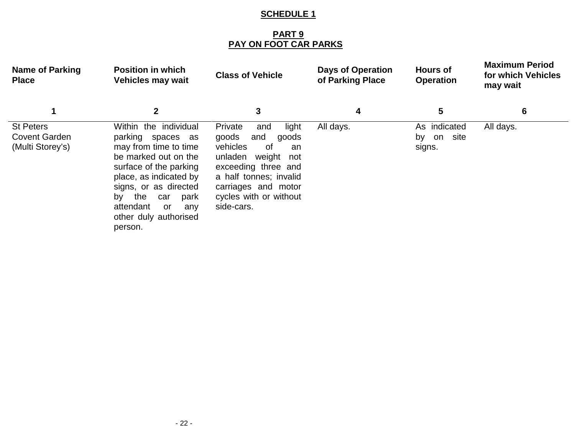### **PART 9 PAY ON FOOT CAR PARKS**

| <b>Name of Parking</b><br><b>Place</b>                       | <b>Position in which</b><br><b>Vehicles may wait</b>                                                                                                                                                                                                               | <b>Class of Vehicle</b>                                                                                                                                                                                           | <b>Days of Operation</b><br>of Parking Place | <b>Hours of</b><br><b>Operation</b>        | <b>Maximum Period</b><br>for which Vehicles<br>may wait |
|--------------------------------------------------------------|--------------------------------------------------------------------------------------------------------------------------------------------------------------------------------------------------------------------------------------------------------------------|-------------------------------------------------------------------------------------------------------------------------------------------------------------------------------------------------------------------|----------------------------------------------|--------------------------------------------|---------------------------------------------------------|
|                                                              | $\mathbf{2}$                                                                                                                                                                                                                                                       | 3                                                                                                                                                                                                                 | 4                                            | 5                                          | 6                                                       |
| <b>St Peters</b><br><b>Covent Garden</b><br>(Multi Storey's) | Within the individual<br>parking spaces as<br>may from time to time<br>be marked out on the<br>surface of the parking<br>place, as indicated by<br>signs, or as directed<br>the<br>park<br>by<br>car<br>attendant<br>or<br>any<br>other duly authorised<br>person. | Private<br>light<br>and<br>goods<br>and<br>goods<br>vehicles<br>0f<br>an<br>unladen<br>weight not<br>exceeding three and<br>a half tonnes; invalid<br>carriages and motor<br>cycles with or without<br>side-cars. | All days.                                    | As indicated<br>site<br>on<br>by<br>signs. | All days.                                               |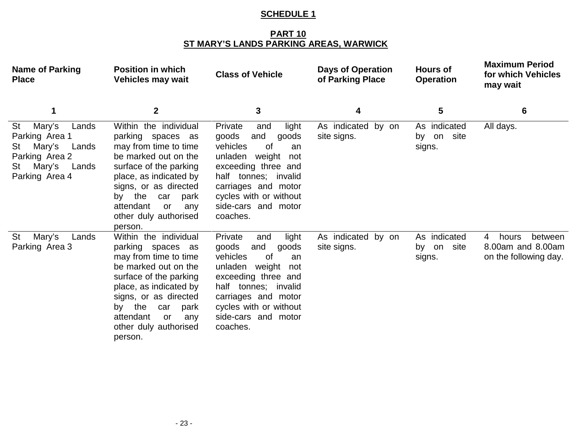### **PART 10 ST MARY'S LANDS PARKING AREAS, WARWICK**

| <b>Name of Parking</b><br><b>Place</b>                                                                                        | <b>Position in which</b><br><b>Vehicles may wait</b>                                                                                                                                                                                                               | <b>Class of Vehicle</b>                                                                                                                                                                                                                 | <b>Days of Operation</b><br>of Parking Place | <b>Hours of</b><br><b>Operation</b>  | <b>Maximum Period</b><br>for which Vehicles<br>may wait             |
|-------------------------------------------------------------------------------------------------------------------------------|--------------------------------------------------------------------------------------------------------------------------------------------------------------------------------------------------------------------------------------------------------------------|-----------------------------------------------------------------------------------------------------------------------------------------------------------------------------------------------------------------------------------------|----------------------------------------------|--------------------------------------|---------------------------------------------------------------------|
| 1                                                                                                                             | $\mathbf 2$                                                                                                                                                                                                                                                        | 3                                                                                                                                                                                                                                       | 4                                            | 5                                    | 6                                                                   |
| Mary's<br>St<br>Lands<br>Parking Area 1<br>Mary's<br>St<br>Lands<br>Parking Area 2<br>Mary's<br>Lands<br>St<br>Parking Area 4 | Within the individual<br>parking spaces as<br>may from time to time<br>be marked out on the<br>surface of the parking<br>place, as indicated by<br>signs, or as directed<br>the<br>car<br>park<br>by<br>attendant<br>or<br>any<br>other duly authorised<br>person. | light<br>Private<br>and<br>and<br>goods<br>goods<br>vehicles<br>0f<br>an<br>unladen<br>weight<br>not<br>exceeding three and<br>half tonnes; invalid<br>carriages and motor<br>cycles with or without<br>side-cars and motor<br>coaches. | As indicated by on<br>site signs.            | As indicated<br>by on site<br>signs. | All days.                                                           |
| <b>St</b><br>Mary's<br>Lands<br>Parking Area 3                                                                                | Within the individual<br>parking spaces as<br>may from time to time<br>be marked out on the<br>surface of the parking<br>place, as indicated by<br>signs, or as directed<br>by the<br>park<br>car<br>attendant<br>or<br>any<br>other duly authorised<br>person.    | light<br>Private<br>and<br>goods<br>and<br>goods<br>vehicles<br>of<br>an<br>weight<br>unladen<br>not<br>exceeding three and<br>half tonnes; invalid<br>carriages and motor<br>cycles with or without<br>side-cars and motor<br>coaches. | As indicated by on<br>site signs.            | As indicated<br>by on site<br>signs. | between<br>4<br>hours<br>8.00am and 8.00am<br>on the following day. |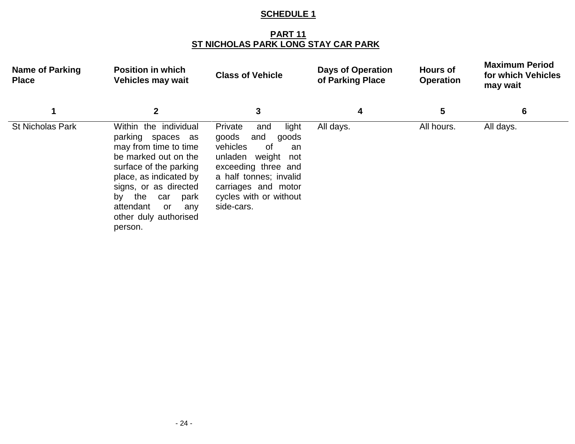### **PART 11 ST NICHOLAS PARK LONG STAY CAR PARK**

| <b>Name of Parking</b><br><b>Place</b> | <b>Position in which</b><br><b>Vehicles may wait</b>                                                                                                                                                                                                               | <b>Class of Vehicle</b>                                                                                                                                                                                           | <b>Days of Operation</b><br>of Parking Place | <b>Hours of</b><br><b>Operation</b> | <b>Maximum Period</b><br>for which Vehicles<br>may wait |
|----------------------------------------|--------------------------------------------------------------------------------------------------------------------------------------------------------------------------------------------------------------------------------------------------------------------|-------------------------------------------------------------------------------------------------------------------------------------------------------------------------------------------------------------------|----------------------------------------------|-------------------------------------|---------------------------------------------------------|
|                                        | $\mathbf{2}$                                                                                                                                                                                                                                                       | 3                                                                                                                                                                                                                 | 4                                            | 5                                   | 6                                                       |
| <b>St Nicholas Park</b>                | Within the individual<br>parking spaces as<br>may from time to time<br>be marked out on the<br>surface of the parking<br>place, as indicated by<br>signs, or as directed<br>the<br>park<br>by<br>car<br>attendant<br>or<br>any<br>other duly authorised<br>person. | Private<br>light<br>and<br>goods<br>and<br>goods<br>vehicles<br>0f<br>an<br>unladen<br>weight not<br>exceeding three and<br>a half tonnes; invalid<br>carriages and motor<br>cycles with or without<br>side-cars. | All days.                                    | All hours.                          | All days.                                               |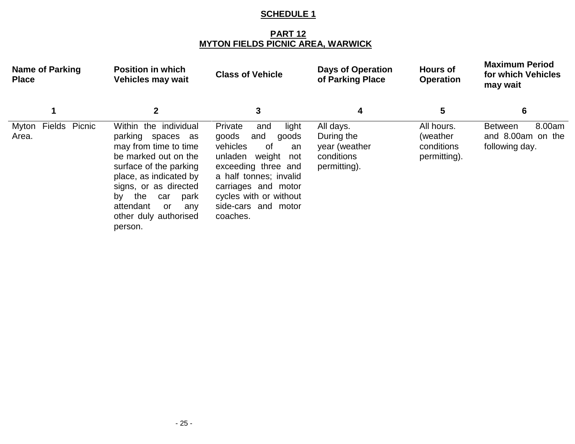### **PART 12 MYTON FIELDS PICNIC AREA, WARWICK**

| <b>Name of Parking</b><br><b>Place</b> | <b>Position in which</b><br><b>Vehicles may wait</b>                                                                                                                                                                                                               | <b>Class of Vehicle</b>                                                                                                                                                                                                                   | <b>Days of Operation</b><br>of Parking Place                           | <b>Hours of</b><br><b>Operation</b>                   | <b>Maximum Period</b><br>for which Vehicles<br>may wait         |
|----------------------------------------|--------------------------------------------------------------------------------------------------------------------------------------------------------------------------------------------------------------------------------------------------------------------|-------------------------------------------------------------------------------------------------------------------------------------------------------------------------------------------------------------------------------------------|------------------------------------------------------------------------|-------------------------------------------------------|-----------------------------------------------------------------|
|                                        | 2                                                                                                                                                                                                                                                                  | 3                                                                                                                                                                                                                                         | 4                                                                      | 5                                                     | 6                                                               |
| Fields Picnic<br>Myton<br>Area.        | Within the individual<br>parking spaces as<br>may from time to time<br>be marked out on the<br>surface of the parking<br>place, as indicated by<br>signs, or as directed<br>the<br>park<br>by<br>car<br>attendant<br>0r<br>any<br>other duly authorised<br>person. | Private<br>light<br>and<br>goods<br>and<br>goods<br>vehicles<br>of<br>an<br>weight<br>unladen<br>not<br>exceeding three and<br>a half tonnes; invalid<br>carriages and motor<br>cycles with or without<br>side-cars and motor<br>coaches. | All days.<br>During the<br>year (weather<br>conditions<br>permitting). | All hours.<br>(weather)<br>conditions<br>permitting). | 8.00am<br><b>Between</b><br>and 8.00am on the<br>following day. |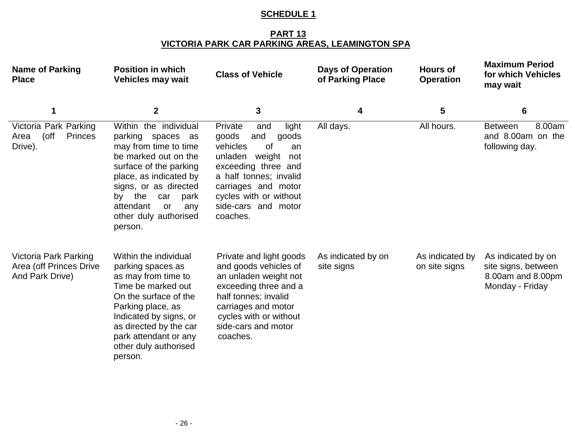#### **PART 13 VICTORIA PARK CAR PARKING AREAS, LEAMINGTON SPA**

| <b>Name of Parking</b><br><b>Place</b>                              | <b>Position in which</b><br><b>Vehicles may wait</b>                                                                                                                                                                                                               | <b>Class of Vehicle</b>                                                                                                                                                                                                                   | <b>Days of Operation</b><br>of Parking Place | <b>Hours of</b><br><b>Operation</b> | <b>Maximum Period</b><br>for which Vehicles<br>may wait                           |
|---------------------------------------------------------------------|--------------------------------------------------------------------------------------------------------------------------------------------------------------------------------------------------------------------------------------------------------------------|-------------------------------------------------------------------------------------------------------------------------------------------------------------------------------------------------------------------------------------------|----------------------------------------------|-------------------------------------|-----------------------------------------------------------------------------------|
| 1                                                                   | $\mathbf{2}$                                                                                                                                                                                                                                                       | 3                                                                                                                                                                                                                                         | 4                                            | 5                                   | 6                                                                                 |
| Victoria Park Parking<br>(off<br><b>Princes</b><br>Area<br>Drive).  | Within the individual<br>parking spaces as<br>may from time to time<br>be marked out on the<br>surface of the parking<br>place, as indicated by<br>signs, or as directed<br>the<br>car<br>park<br>by<br>attendant<br>or<br>any<br>other duly authorised<br>person. | Private<br>light<br>and<br>and<br>goods<br>goods<br>vehicles<br>0f<br>an<br>unladen<br>weight<br>not<br>exceeding three and<br>a half tonnes; invalid<br>carriages and motor<br>cycles with or without<br>side-cars and motor<br>coaches. | All days.                                    | All hours.                          | 8.00am<br><b>Between</b><br>and 8.00am on the<br>following day.                   |
| Victoria Park Parking<br>Area (off Princes Drive<br>And Park Drive) | Within the individual<br>parking spaces as<br>as may from time to<br>Time be marked out<br>On the surface of the<br>Parking place, as<br>Indicated by signs, or<br>as directed by the car<br>park attendant or any<br>other duly authorised<br>person.             | Private and light goods<br>and goods vehicles of<br>an unladen weight not<br>exceeding three and a<br>half tonnes; invalid<br>carriages and motor<br>cycles with or without<br>side-cars and motor<br>coaches.                            | As indicated by on<br>site signs             | As indicated by<br>on site signs    | As indicated by on<br>site signs, between<br>8.00am and 8.00pm<br>Monday - Friday |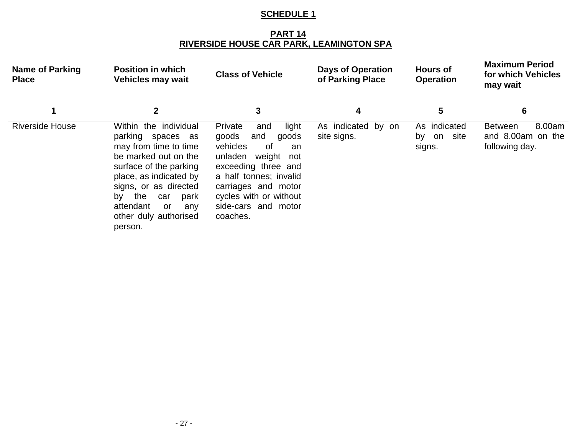#### **PART 14 RIVERSIDE HOUSE CAR PARK, LEAMINGTON SPA**

| <b>Name of Parking</b><br><b>Place</b> | <b>Position in which</b><br><b>Vehicles may wait</b>                                                                                                                                                                                                                | <b>Class of Vehicle</b>                                                                                                                                                                                                                   | <b>Days of Operation</b><br>of Parking Place | <b>Hours of</b><br><b>Operation</b>         | <b>Maximum Period</b><br>for which Vehicles<br>may wait         |
|----------------------------------------|---------------------------------------------------------------------------------------------------------------------------------------------------------------------------------------------------------------------------------------------------------------------|-------------------------------------------------------------------------------------------------------------------------------------------------------------------------------------------------------------------------------------------|----------------------------------------------|---------------------------------------------|-----------------------------------------------------------------|
|                                        | $\mathbf{2}$                                                                                                                                                                                                                                                        | 3                                                                                                                                                                                                                                         | 4                                            | 5                                           | 6                                                               |
| <b>Riverside House</b>                 | Within the individual<br>parking spaces as<br>may from time to time<br>be marked out on the<br>surface of the parking<br>place, as indicated by<br>signs, or as directed<br>the<br>park<br>by<br>car<br>attendant<br>or.<br>any<br>other duly authorised<br>person. | Private<br>light<br>and<br>goods<br>and<br>goods<br>vehicles<br>0f<br>an<br>unladen<br>weight<br>not<br>exceeding three and<br>a half tonnes; invalid<br>carriages and motor<br>cycles with or without<br>side-cars and motor<br>coaches. | As indicated by on<br>site signs.            | As indicated<br>site<br>on<br>bv.<br>signs. | 8.00am<br><b>Between</b><br>and 8.00am on the<br>following day. |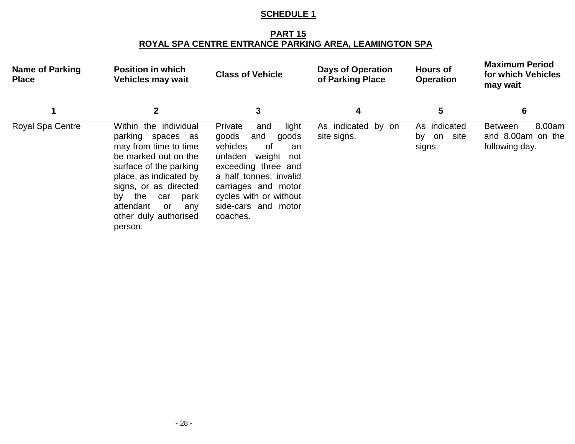#### **PART 15 ROYAL SPA CENTRE ENTRANCE PARKING AREA, LEAMINGTON SPA**

| <b>Name of Parking</b><br><b>Place</b> | <b>Position in which</b><br><b>Vehicles may wait</b>                                                                                                                                                                                                               | <b>Class of Vehicle</b>                                                                                                                                                                                                                   | <b>Days of Operation</b><br>of Parking Place | <b>Hours of</b><br><b>Operation</b>         | <b>Maximum Period</b><br>for which Vehicles<br>may wait         |
|----------------------------------------|--------------------------------------------------------------------------------------------------------------------------------------------------------------------------------------------------------------------------------------------------------------------|-------------------------------------------------------------------------------------------------------------------------------------------------------------------------------------------------------------------------------------------|----------------------------------------------|---------------------------------------------|-----------------------------------------------------------------|
|                                        | 2                                                                                                                                                                                                                                                                  | 3                                                                                                                                                                                                                                         | 4                                            | 5                                           | 6                                                               |
| Royal Spa Centre                       | Within the individual<br>parking spaces as<br>may from time to time<br>be marked out on the<br>surface of the parking<br>place, as indicated by<br>signs, or as directed<br>the<br>park<br>by<br>car<br>attendant<br>any<br>or<br>other duly authorised<br>person. | Private<br>light<br>and<br>goods<br>and<br>goods<br>vehicles<br>0f<br>an<br>weight<br>unladen<br>not<br>exceeding three and<br>a half tonnes; invalid<br>carriages and motor<br>cycles with or without<br>side-cars and motor<br>coaches. | As indicated by on<br>site signs.            | As indicated<br>site<br>on<br>bv.<br>signs. | 8.00am<br><b>Between</b><br>and 8.00am on the<br>following day. |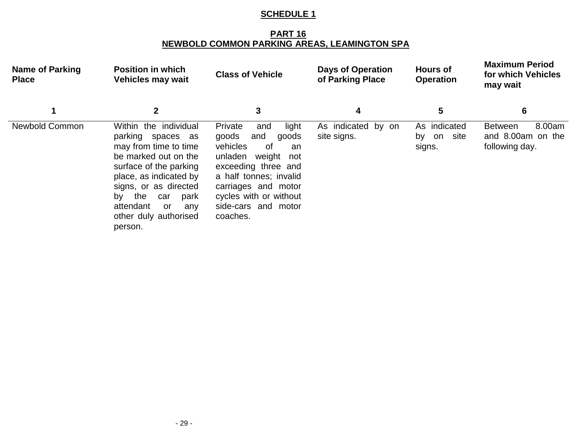#### **PART 16 NEWBOLD COMMON PARKING AREAS, LEAMINGTON SPA**

| <b>Name of Parking</b><br><b>Place</b> | <b>Position in which</b><br><b>Vehicles may wait</b>                                                                                                                                                                                                                | <b>Class of Vehicle</b>                                                                                                                                                                                                                   | <b>Days of Operation</b><br>of Parking Place | <b>Hours of</b><br><b>Operation</b>         | <b>Maximum Period</b><br>for which Vehicles<br>may wait         |
|----------------------------------------|---------------------------------------------------------------------------------------------------------------------------------------------------------------------------------------------------------------------------------------------------------------------|-------------------------------------------------------------------------------------------------------------------------------------------------------------------------------------------------------------------------------------------|----------------------------------------------|---------------------------------------------|-----------------------------------------------------------------|
|                                        | $\mathbf{2}$                                                                                                                                                                                                                                                        | 3                                                                                                                                                                                                                                         | 4                                            | 5                                           | 6                                                               |
| <b>Newbold Common</b>                  | Within the individual<br>parking spaces as<br>may from time to time<br>be marked out on the<br>surface of the parking<br>place, as indicated by<br>signs, or as directed<br>the<br>park<br>bv<br>car<br>attendant<br>or.<br>any<br>other duly authorised<br>person. | Private<br>light<br>and<br>goods<br>and<br>goods<br>vehicles<br>0f<br>an<br>unladen<br>weight<br>not<br>exceeding three and<br>a half tonnes; invalid<br>carriages and motor<br>cycles with or without<br>side-cars and motor<br>coaches. | As indicated by on<br>site signs.            | As indicated<br>site<br>on<br>bv.<br>signs. | 8.00am<br><b>Between</b><br>and 8.00am on the<br>following day. |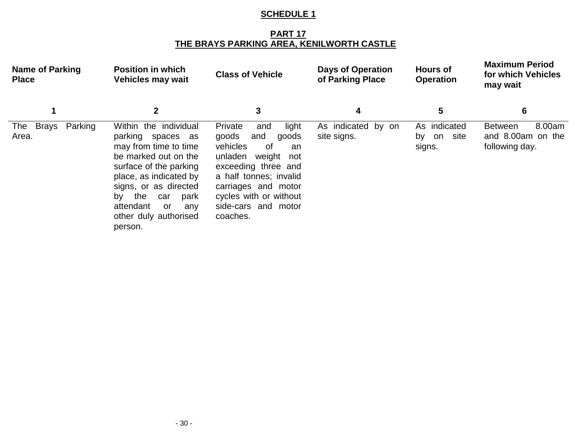#### **PART 17 THE BRAYS PARKING AREA, KENILWORTH CASTLE**

| <b>Name of Parking</b><br><b>Place</b> | <b>Position in which</b><br><b>Vehicles may wait</b>                                                                                                                                                                                                               | <b>Class of Vehicle</b>                                                                                                                                                                                                                     | <b>Days of Operation</b><br>of Parking Place | <b>Hours of</b><br><b>Operation</b>         | <b>Maximum Period</b><br>for which Vehicles<br>may wait         |
|----------------------------------------|--------------------------------------------------------------------------------------------------------------------------------------------------------------------------------------------------------------------------------------------------------------------|---------------------------------------------------------------------------------------------------------------------------------------------------------------------------------------------------------------------------------------------|----------------------------------------------|---------------------------------------------|-----------------------------------------------------------------|
|                                        | 2                                                                                                                                                                                                                                                                  | 3                                                                                                                                                                                                                                           | 4                                            | 5                                           | 6                                                               |
| The Brays<br>Parking<br>Area.          | Within the individual<br>parking spaces as<br>may from time to time<br>be marked out on the<br>surface of the parking<br>place, as indicated by<br>signs, or as directed<br>the<br>park<br>by<br>car<br>attendant<br>or<br>any<br>other duly authorised<br>person. | Private<br>light<br>and<br>goods<br>and<br>goods<br>vehicles<br>. of<br>an<br>weight<br>unladen<br>not<br>exceeding three and<br>a half tonnes; invalid<br>carriages and motor<br>cycles with or without<br>side-cars and motor<br>coaches. | As indicated by on<br>site signs.            | As indicated<br>site<br>on<br>by.<br>signs. | 8.00am<br><b>Between</b><br>and 8.00am on the<br>following day. |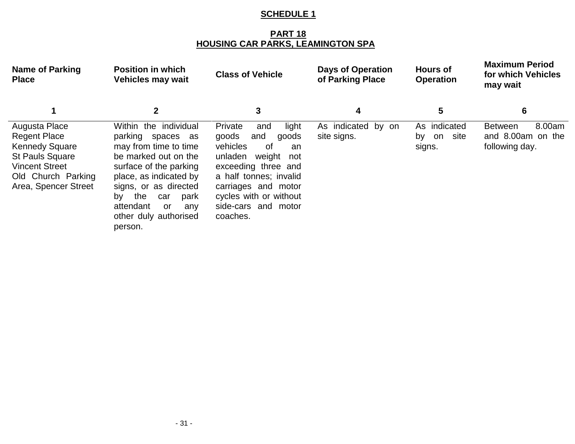#### **PART 18 HOUSING CAR PARKS, LEAMINGTON SPA**

| <b>Name of Parking</b><br><b>Place</b>                                                                                                                         | <b>Position in which</b><br><b>Vehicles may wait</b>                                                                                                                                                                                                               | <b>Class of Vehicle</b>                                                                                                                                                                                                                   | <b>Days of Operation</b><br>of Parking Place | <b>Hours of</b><br><b>Operation</b>         | <b>Maximum Period</b><br>for which Vehicles<br>may wait         |
|----------------------------------------------------------------------------------------------------------------------------------------------------------------|--------------------------------------------------------------------------------------------------------------------------------------------------------------------------------------------------------------------------------------------------------------------|-------------------------------------------------------------------------------------------------------------------------------------------------------------------------------------------------------------------------------------------|----------------------------------------------|---------------------------------------------|-----------------------------------------------------------------|
|                                                                                                                                                                | $\mathbf{2}$                                                                                                                                                                                                                                                       | 3                                                                                                                                                                                                                                         | 4                                            | $\overline{\mathbf{5}}$                     | 6                                                               |
| Augusta Place<br><b>Regent Place</b><br><b>Kennedy Square</b><br><b>St Pauls Square</b><br><b>Vincent Street</b><br>Old Church Parking<br>Area, Spencer Street | Within the individual<br>parking spaces as<br>may from time to time<br>be marked out on the<br>surface of the parking<br>place, as indicated by<br>signs, or as directed<br>the<br>by<br>park<br>car<br>attendant<br>or<br>any<br>other duly authorised<br>person. | Private<br>light<br>and<br>goods<br>and<br>goods<br>vehicles<br>0f<br>an<br>unladen<br>weight<br>not<br>exceeding three and<br>a half tonnes; invalid<br>carriages and motor<br>cycles with or without<br>side-cars and motor<br>coaches. | As indicated by on<br>site signs.            | As indicated<br>site<br>on<br>by.<br>signs. | 8.00am<br><b>Between</b><br>and 8.00am on the<br>following day. |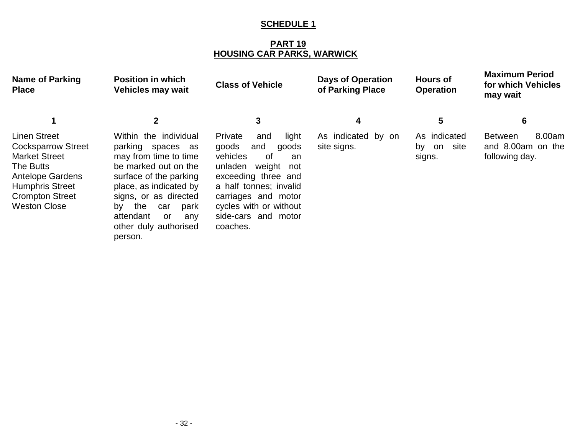**PART 19 HOUSING CAR PARKS, WARWICK**

| <b>Name of Parking</b><br><b>Place</b>                                                                                                                                                      | <b>Position in which</b><br><b>Vehicles may wait</b>                                                                                                                                                                                                               | <b>Class of Vehicle</b>                                                                                                                                                                                                                     | <b>Days of Operation</b><br>of Parking Place | <b>Hours of</b><br><b>Operation</b>        | <b>Maximum Period</b><br>for which Vehicles<br>may wait         |
|---------------------------------------------------------------------------------------------------------------------------------------------------------------------------------------------|--------------------------------------------------------------------------------------------------------------------------------------------------------------------------------------------------------------------------------------------------------------------|---------------------------------------------------------------------------------------------------------------------------------------------------------------------------------------------------------------------------------------------|----------------------------------------------|--------------------------------------------|-----------------------------------------------------------------|
|                                                                                                                                                                                             | $\mathbf{2}$                                                                                                                                                                                                                                                       | 3                                                                                                                                                                                                                                           | 4                                            | 5                                          | 6                                                               |
| <b>Linen Street</b><br><b>Cocksparrow Street</b><br><b>Market Street</b><br>The Butts<br><b>Antelope Gardens</b><br><b>Humphris Street</b><br><b>Crompton Street</b><br><b>Weston Close</b> | Within the individual<br>parking spaces as<br>may from time to time<br>be marked out on the<br>surface of the parking<br>place, as indicated by<br>signs, or as directed<br>the<br>by<br>park<br>car<br>attendant<br>or<br>any<br>other duly authorised<br>person. | light<br>Private<br>and<br>goods<br>and<br>goods<br>vehicles<br>. of<br>an<br>unladen<br>weight<br>not<br>exceeding three and<br>a half tonnes; invalid<br>carriages and motor<br>cycles with or without<br>side-cars and motor<br>coaches. | As indicated by on<br>site signs.            | As indicated<br>site<br>on<br>by<br>signs. | 8.00am<br><b>Between</b><br>and 8.00am on the<br>following day. |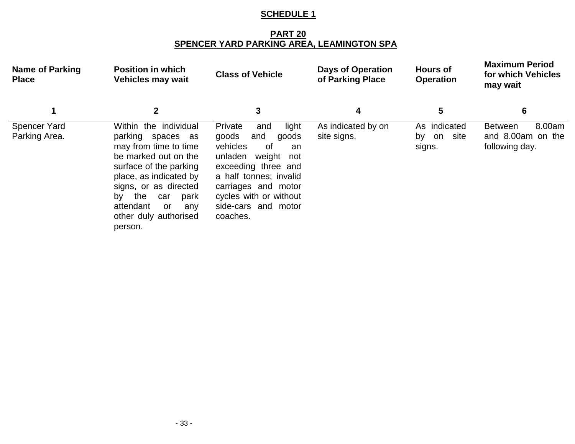#### **PART 20 SPENCER YARD PARKING AREA, LEAMINGTON SPA**

| <b>Name of Parking</b><br><b>Place</b> | <b>Position in which</b><br><b>Vehicles may wait</b>                                                                                                                                                                                                               | <b>Class of Vehicle</b>                                                                                                                                                                                                                   | <b>Days of Operation</b><br>of Parking Place | <b>Hours of</b><br><b>Operation</b>        | <b>Maximum Period</b><br>for which Vehicles<br>may wait         |
|----------------------------------------|--------------------------------------------------------------------------------------------------------------------------------------------------------------------------------------------------------------------------------------------------------------------|-------------------------------------------------------------------------------------------------------------------------------------------------------------------------------------------------------------------------------------------|----------------------------------------------|--------------------------------------------|-----------------------------------------------------------------|
| 1                                      | $\mathbf{2}$                                                                                                                                                                                                                                                       | 3                                                                                                                                                                                                                                         | 4                                            | 5                                          | 6                                                               |
| <b>Spencer Yard</b><br>Parking Area.   | Within the individual<br>parking spaces as<br>may from time to time<br>be marked out on the<br>surface of the parking<br>place, as indicated by<br>signs, or as directed<br>the<br>by<br>park<br>car<br>attendant<br>or<br>any<br>other duly authorised<br>person. | Private<br>light<br>and<br>goods<br>and<br>goods<br>vehicles<br>0f<br>an<br>unladen<br>weight<br>not<br>exceeding three and<br>a half tonnes; invalid<br>carriages and motor<br>cycles with or without<br>side-cars and motor<br>coaches. | As indicated by on<br>site signs.            | As indicated<br>site<br>on<br>by<br>signs. | 8.00am<br><b>Between</b><br>and 8.00am on the<br>following day. |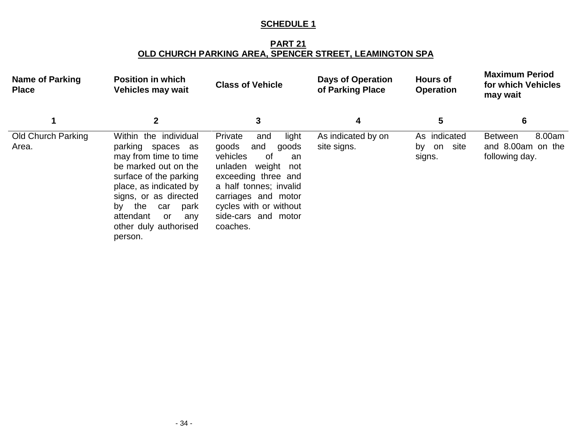**PART 21 OLD CHURCH PARKING AREA, SPENCER STREET, LEAMINGTON SPA**

| <b>Name of Parking</b><br><b>Place</b> | <b>Position in which</b><br><b>Vehicles may wait</b>                                                                                                                                                                                                               | <b>Class of Vehicle</b>                                                                                                                                                                                                                   | <b>Days of Operation</b><br>of Parking Place | <b>Hours of</b><br><b>Operation</b>        | <b>Maximum Period</b><br>for which Vehicles<br>may wait         |
|----------------------------------------|--------------------------------------------------------------------------------------------------------------------------------------------------------------------------------------------------------------------------------------------------------------------|-------------------------------------------------------------------------------------------------------------------------------------------------------------------------------------------------------------------------------------------|----------------------------------------------|--------------------------------------------|-----------------------------------------------------------------|
|                                        | $\mathbf{2}$                                                                                                                                                                                                                                                       | 3                                                                                                                                                                                                                                         | 4                                            | 5                                          | 6                                                               |
| <b>Old Church Parking</b><br>Area.     | Within the individual<br>parking spaces as<br>may from time to time<br>be marked out on the<br>surface of the parking<br>place, as indicated by<br>signs, or as directed<br>the<br>by<br>park<br>car<br>attendant<br>or<br>any<br>other duly authorised<br>person. | Private<br>light<br>and<br>goods<br>and<br>goods<br>vehicles<br>0f<br>an<br>unladen<br>weight<br>not<br>exceeding three and<br>a half tonnes; invalid<br>carriages and motor<br>cycles with or without<br>side-cars and motor<br>coaches. | As indicated by on<br>site signs.            | As indicated<br>site<br>on<br>bv<br>signs. | 8.00am<br><b>Between</b><br>and 8.00am on the<br>following day. |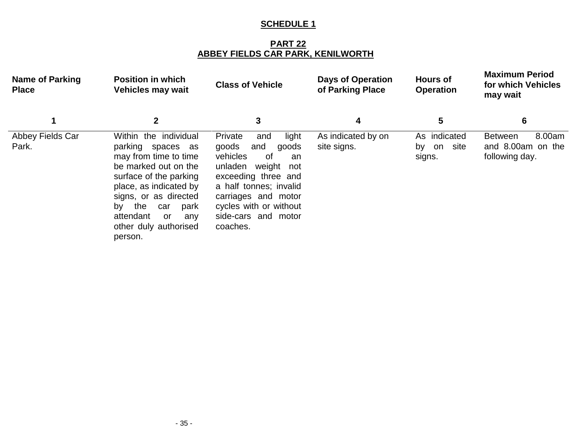**PART 22 ABBEY FIELDS CAR PARK, KENILWORTH**

| <b>Name of Parking</b><br><b>Place</b> | <b>Position in which</b><br><b>Vehicles may wait</b>                                                                                                                                                                                                               | <b>Class of Vehicle</b>                                                                                                                                                                                                                | <b>Days of Operation</b><br>of Parking Place | <b>Hours of</b><br><b>Operation</b>        | <b>Maximum Period</b><br>for which Vehicles<br>may wait         |
|----------------------------------------|--------------------------------------------------------------------------------------------------------------------------------------------------------------------------------------------------------------------------------------------------------------------|----------------------------------------------------------------------------------------------------------------------------------------------------------------------------------------------------------------------------------------|----------------------------------------------|--------------------------------------------|-----------------------------------------------------------------|
|                                        | $\mathbf 2$                                                                                                                                                                                                                                                        | 3                                                                                                                                                                                                                                      | 4                                            | 5                                          | 6                                                               |
| Abbey Fields Car<br>Park.              | Within the individual<br>parking spaces as<br>may from time to time<br>be marked out on the<br>surface of the parking<br>place, as indicated by<br>signs, or as directed<br>the<br>park<br>by<br>car<br>attendant<br>or<br>any<br>other duly authorised<br>person. | Private<br>light<br>and<br>goods<br>and<br>goods<br>vehicles<br>of<br>an<br>unladen<br>weight not<br>exceeding three and<br>a half tonnes; invalid<br>carriages and motor<br>cycles with or without<br>side-cars and motor<br>coaches. | As indicated by on<br>site signs.            | As indicated<br>site<br>on<br>by<br>signs. | 8.00am<br><b>Between</b><br>and 8.00am on the<br>following day. |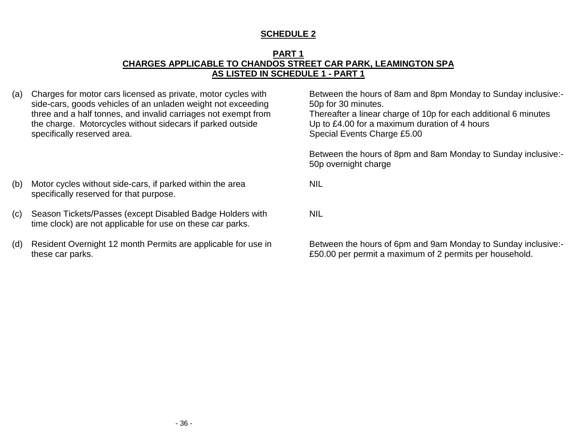#### **PART 1 CHARGES APPLICABLE TO CHANDOS STREET CAR PARK, LEAMINGTON SPA AS LISTED IN SCHEDULE 1 - PART 1**

(a) Charges for motor cars licensed as private, motor cycles with side-cars, goods vehicles of an unladen weight not exceeding three and a half tonnes, and invalid carriages not exempt from the charge. Motorcycles without sidecars if parked outside specifically reserved area.

Between the hours of 8am and 8pm Monday to Sunday inclusive:- 50p for 30 minutes. Thereafter a linear charge of 10p for each additional 6 minutes Up to £4.00 for a maximum duration of 4 hours Special Events Charge £5.00

Between the hours of 8pm and 8am Monday to Sunday inclusive:- 50p overnight charge

- (b) Motor cycles without side-cars, if parked within the area specifically reserved for that purpose.
- (c) Season Tickets/Passes (except Disabled Badge Holders with time clock) are not applicable for use on these car parks.
- (d) Resident Overnight 12 month Permits are applicable for use in these car parks.

NIL

NIL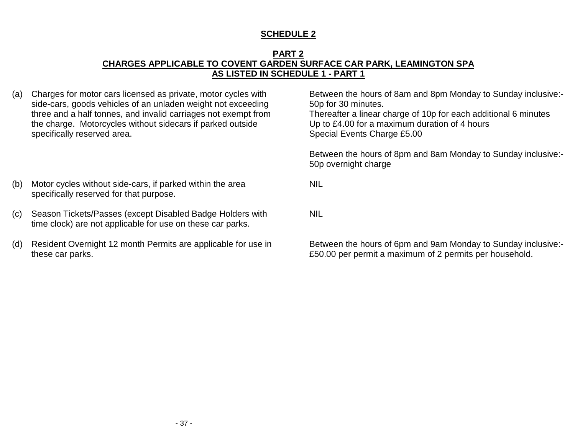#### **PART 2 CHARGES APPLICABLE TO COVENT GARDEN SURFACE CAR PARK, LEAMINGTON SPA AS LISTED IN SCHEDULE 1 - PART 1**

(a) Charges for motor cars licensed as private, motor cycles with side-cars, goods vehicles of an unladen weight not exceeding three and a half tonnes, and invalid carriages not exempt from the charge. Motorcycles without sidecars if parked outside specifically reserved area.

Between the hours of 8am and 8pm Monday to Sunday inclusive:- 50p for 30 minutes. Thereafter a linear charge of 10p for each additional 6 minutes Up to £4.00 for a maximum duration of 4 hours Special Events Charge £5.00

Between the hours of 8pm and 8am Monday to Sunday inclusive:- 50p overnight charge

- (b) Motor cycles without side-cars, if parked within the area specifically reserved for that purpose.
- (c) Season Tickets/Passes (except Disabled Badge Holders with time clock) are not applicable for use on these car parks.
- (d) Resident Overnight 12 month Permits are applicable for use in these car parks.

NIL

NIL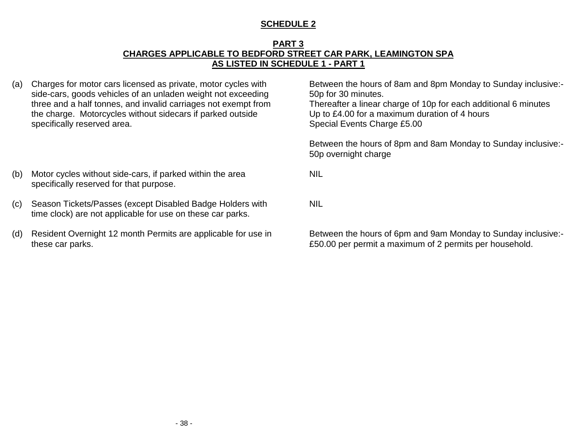#### **PART 3 CHARGES APPLICABLE TO BEDFORD STREET CAR PARK, LEAMINGTON SPA AS LISTED IN SCHEDULE 1 - PART 1**

(a) Charges for motor cars licensed as private, motor cycles with side-cars, goods vehicles of an unladen weight not exceeding three and a half tonnes, and invalid carriages not exempt from the charge. Motorcycles without sidecars if parked outside specifically reserved area.

Between the hours of 8am and 8pm Monday to Sunday inclusive:- 50p for 30 minutes. Thereafter a linear charge of 10p for each additional 6 minutes Up to £4.00 for a maximum duration of 4 hours Special Events Charge £5.00

Between the hours of 8pm and 8am Monday to Sunday inclusive:- 50p overnight charge

NIL

NIL

- (b) Motor cycles without side-cars, if parked within the area specifically reserved for that purpose.
- (c) Season Tickets/Passes (except Disabled Badge Holders with time clock) are not applicable for use on these car parks.
- (d) Resident Overnight 12 month Permits are applicable for use in these car parks.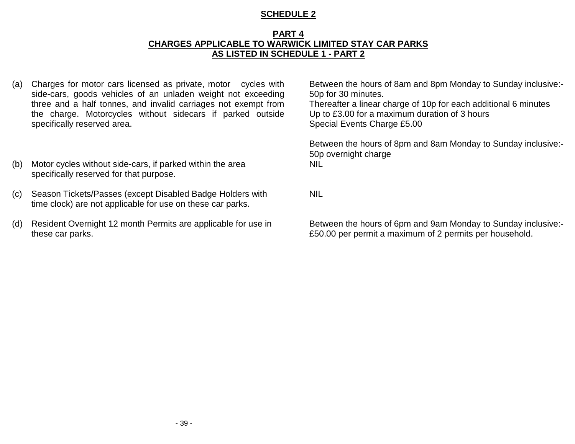#### **PART 4 CHARGES APPLICABLE TO WARWICK LIMITED STAY CAR PARKS AS LISTED IN SCHEDULE 1 - PART 2**

- (a) Charges for motor cars licensed as private, motor cycles with side-cars, goods vehicles of an unladen weight not exceeding three and a half tonnes, and invalid carriages not exempt from the charge. Motorcycles without sidecars if parked outside specifically reserved area.
- (b) Motor cycles without side-cars, if parked within the area specifically reserved for that purpose.
- (c) Season Tickets/Passes (except Disabled Badge Holders with time clock) are not applicable for use on these car parks.
- (d) Resident Overnight 12 month Permits are applicable for use in these car parks.

Between the hours of 8am and 8pm Monday to Sunday inclusive:- 50p for 30 minutes. Thereafter a linear charge of 10p for each additional 6 minutes

Up to £3.00 for a maximum duration of 3 hours Special Events Charge £5.00

Between the hours of 8pm and 8am Monday to Sunday inclusive:- 50p overnight charge NIL

NIL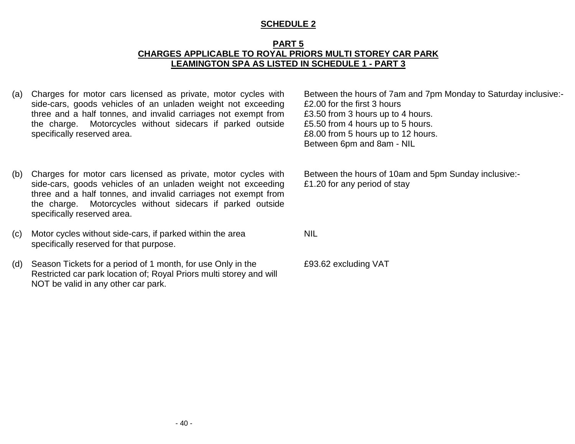#### **PART 5 CHARGES APPLICABLE TO ROYAL PRIORS MULTI STOREY CAR PARK LEAMINGTON SPA AS LISTED IN SCHEDULE 1 - PART 3**

- (a) Charges for motor cars licensed as private, motor cycles with side-cars, goods vehicles of an unladen weight not exceeding three and a half tonnes, and invalid carriages not exempt from the charge. Motorcycles without sidecars if parked outside specifically reserved area.
- (b) Charges for motor cars licensed as private, motor cycles with side-cars, goods vehicles of an unladen weight not exceeding three and a half tonnes, and invalid carriages not exempt from the charge. Motorcycles without sidecars if parked outside specifically reserved area.
- (c) Motor cycles without side-cars, if parked within the area specifically reserved for that purpose.
- (d) Season Tickets for a period of 1 month, for use Only in the Restricted car park location of; Royal Priors multi storey and will NOT be valid in any other car park.

Between the hours of 7am and 7pm Monday to Saturday inclusive:- £2.00 for the first 3 hours £3.50 from 3 hours up to 4 hours. £5.50 from 4 hours up to 5 hours. £8.00 from 5 hours up to 12 hours. Between 6pm and 8am - NIL

Between the hours of 10am and 5pm Sunday inclusive:- £1.20 for any period of stay

NIL

£93.62 excluding VAT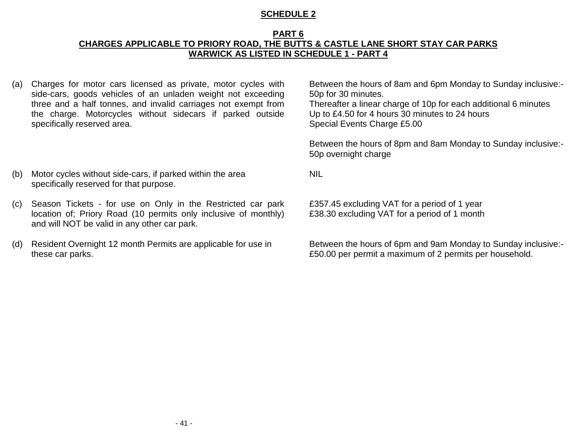#### **PART 6 CHARGES APPLICABLE TO PRIORY ROAD, THE BUTTS & CASTLE LANE SHORT STAY CAR PARKS WARWICK AS LISTED IN SCHEDULE 1 - PART 4**

(a) Charges for motor cars licensed as private, motor cycles with side-cars, goods vehicles of an unladen weight not exceeding three and a half tonnes, and invalid carriages not exempt from the charge. Motorcycles without sidecars if parked outside specifically reserved area.

Between the hours of 8am and 6pm Monday to Sunday inclusive:- 50p for 30 minutes.

Thereafter a linear charge of 10p for each additional 6 minutes Up to £4.50 for 4 hours 30 minutes to 24 hours Special Events Charge £5.00

Between the hours of 8pm and 8am Monday to Sunday inclusive:- 50p overnight charge

NIL

£357.45 excluding VAT for a period of 1 year £38.30 excluding VAT for a period of 1 month

- (b) Motor cycles without side-cars, if parked within the area specifically reserved for that purpose.
- (c) Season Tickets for use on Only in the Restricted car park location of; Priory Road (10 permits only inclusive of monthly) and will NOT be valid in any other car park.
- (d) Resident Overnight 12 month Permits are applicable for use in these car parks.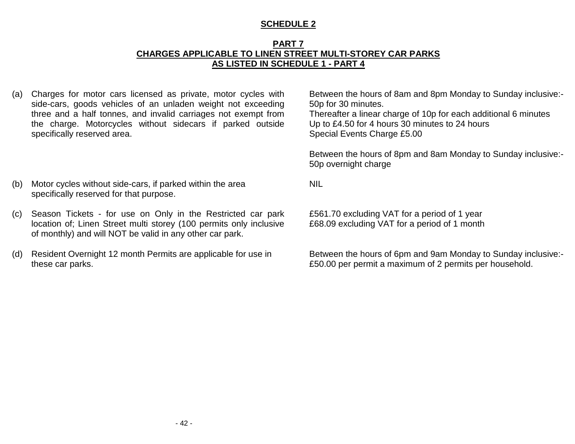#### **PART 7 CHARGES APPLICABLE TO LINEN STREET MULTI-STOREY CAR PARKS AS LISTED IN SCHEDULE 1 - PART 4**

(a) Charges for motor cars licensed as private, motor cycles with side-cars, goods vehicles of an unladen weight not exceeding three and a half tonnes, and invalid carriages not exempt from the charge. Motorcycles without sidecars if parked outside specifically reserved area.

Between the hours of 8am and 8pm Monday to Sunday inclusive:- 50p for 30 minutes. Thereafter a linear charge of 10p for each additional 6 minutes Up to £4.50 for 4 hours 30 minutes to 24 hours Special Events Charge £5.00

Between the hours of 8pm and 8am Monday to Sunday inclusive:- 50p overnight charge

- (b) Motor cycles without side-cars, if parked within the area specifically reserved for that purpose.
- (c) Season Tickets for use on Only in the Restricted car park location of; Linen Street multi storey (100 permits only inclusive of monthly) and will NOT be valid in any other car park.
- (d) Resident Overnight 12 month Permits are applicable for use in these car parks.

NIL

£561.70 excluding VAT for a period of 1 year £68.09 excluding VAT for a period of 1 month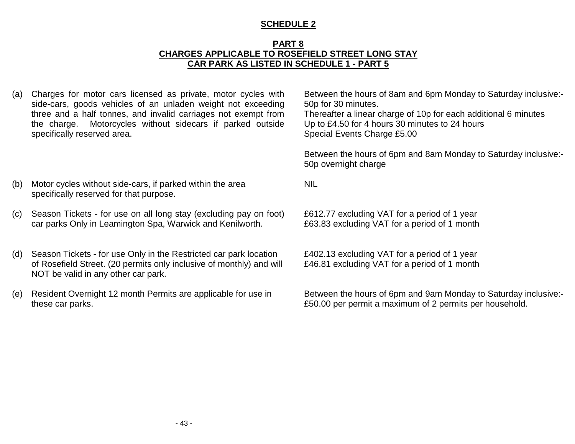#### **PART 8 CHARGES APPLICABLE TO ROSEFIELD STREET LONG STAY CAR PARK AS LISTED IN SCHEDULE 1 - PART 5**

NIL

(a) Charges for motor cars licensed as private, motor cycles with side-cars, goods vehicles of an unladen weight not exceeding three and a half tonnes, and invalid carriages not exempt from the charge. Motorcycles without sidecars if parked outside specifically reserved area.

Between the hours of 8am and 6pm Monday to Saturday inclusive:- 50p for 30 minutes.

Thereafter a linear charge of 10p for each additional 6 minutes Up to £4.50 for 4 hours 30 minutes to 24 hours Special Events Charge £5.00

Between the hours of 6pm and 8am Monday to Saturday inclusive:- 50p overnight charge

- (b) Motor cycles without side-cars, if parked within the area specifically reserved for that purpose.
- (c) Season Tickets for use on all long stay (excluding pay on foot) car parks Only in Leamington Spa, Warwick and Kenilworth.
- (d) Season Tickets for use Only in the Restricted car park location of Rosefield Street. (20 permits only inclusive of monthly) and will NOT be valid in any other car park.
- (e) Resident Overnight 12 month Permits are applicable for use in these car parks.

£612.77 excluding VAT for a period of 1 year £63.83 excluding VAT for a period of 1 month

£402.13 excluding VAT for a period of 1 year £46.81 excluding VAT for a period of 1 month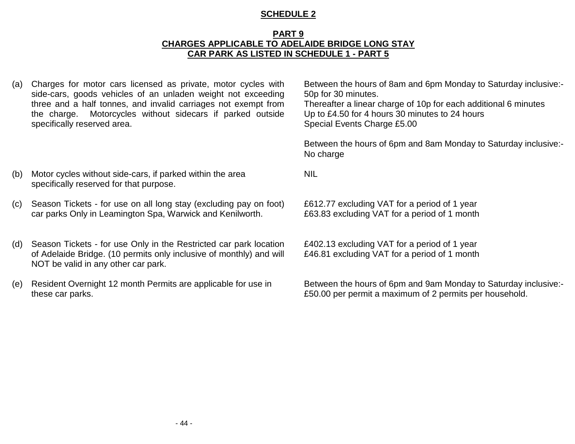#### **PART 9 CHARGES APPLICABLE TO ADELAIDE BRIDGE LONG STAY CAR PARK AS LISTED IN SCHEDULE 1 - PART 5**

(a) Charges for motor cars licensed as private, motor cycles with side-cars, goods vehicles of an unladen weight not exceeding three and a half tonnes, and invalid carriages not exempt from the charge. Motorcycles without sidecars if parked outside specifically reserved area.

Between the hours of 8am and 6pm Monday to Saturday inclusive:- 50p for 30 minutes. Thereafter a linear charge of 10p for each additional 6 minutes Up to £4.50 for 4 hours 30 minutes to 24 hours

Special Events Charge £5.00

Between the hours of 6pm and 8am Monday to Saturday inclusive:- No charge

NIL

- (b) Motor cycles without side-cars, if parked within the area specifically reserved for that purpose.
- (c) Season Tickets for use on all long stay (excluding pay on foot) car parks Only in Leamington Spa, Warwick and Kenilworth.
- (d) Season Tickets for use Only in the Restricted car park location of Adelaide Bridge. (10 permits only inclusive of monthly) and will NOT be valid in any other car park.
- (e) Resident Overnight 12 month Permits are applicable for use in these car parks.

£612.77 excluding VAT for a period of 1 year £63.83 excluding VAT for a period of 1 month

£402.13 excluding VAT for a period of 1 year £46.81 excluding VAT for a period of 1 month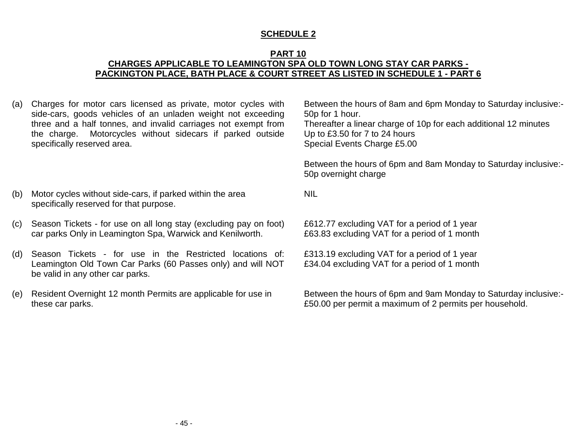#### **PART 10 CHARGES APPLICABLE TO LEAMINGTON SPA OLD TOWN LONG STAY CAR PARKS - PACKINGTON PLACE, BATH PLACE & COURT STREET AS LISTED IN SCHEDULE 1 - PART 6**

NIL

(a) Charges for motor cars licensed as private, motor cycles with side-cars, goods vehicles of an unladen weight not exceeding three and a half tonnes, and invalid carriages not exempt from the charge. Motorcycles without sidecars if parked outside specifically reserved area.

Between the hours of 8am and 6pm Monday to Saturday inclusive:- 50p for 1 hour. Thereafter a linear charge of 10p for each additional 12 minutes Up to £3.50 for 7 to 24 hours Special Events Charge £5.00

Between the hours of 6pm and 8am Monday to Saturday inclusive:- 50p overnight charge

- (b) Motor cycles without side-cars, if parked within the area specifically reserved for that purpose.
- (c) Season Tickets for use on all long stay (excluding pay on foot) car parks Only in Leamington Spa, Warwick and Kenilworth.
- (d) Season Tickets for use in the Restricted locations of: Leamington Old Town Car Parks (60 Passes only) and will NOT be valid in any other car parks.
- (e) Resident Overnight 12 month Permits are applicable for use in these car parks.

£612.77 excluding VAT for a period of 1 year £63.83 excluding VAT for a period of 1 month

£313.19 excluding VAT for a period of 1 year £34.04 excluding VAT for a period of 1 month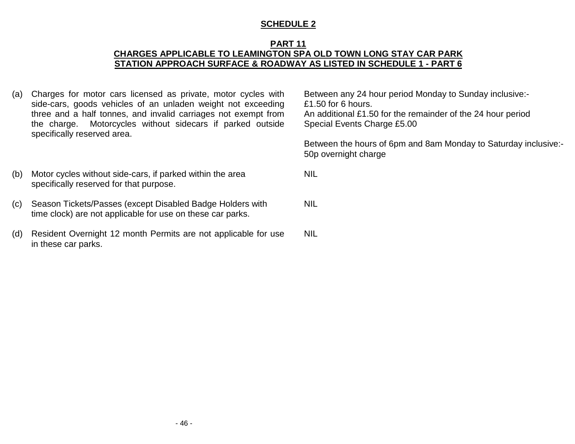#### **PART 11 CHARGES APPLICABLE TO LEAMINGTON SPA OLD TOWN LONG STAY CAR PARK STATION APPROACH SURFACE & ROADWAY AS LISTED IN SCHEDULE 1 - PART 6**

(a) Charges for motor cars licensed as private, motor cycles with side-cars, goods vehicles of an unladen weight not exceeding three and a half tonnes, and invalid carriages not exempt from the charge. Motorcycles without sidecars if parked outside specifically reserved area.

Between any 24 hour period Monday to Sunday inclusive:- £1.50 for 6 hours. An additional £1.50 for the remainder of the 24 hour period Special Events Charge £5.00

Between the hours of 6pm and 8am Monday to Saturday inclusive:- 50p overnight charge

- (b) Motor cycles without side-cars, if parked within the area specifically reserved for that purpose.
- (c) Season Tickets/Passes (except Disabled Badge Holders with time clock) are not applicable for use on these car parks.
- (d) Resident Overnight 12 month Permits are not applicable for use in these car parks. NIL

- 46 -

NIL

NIL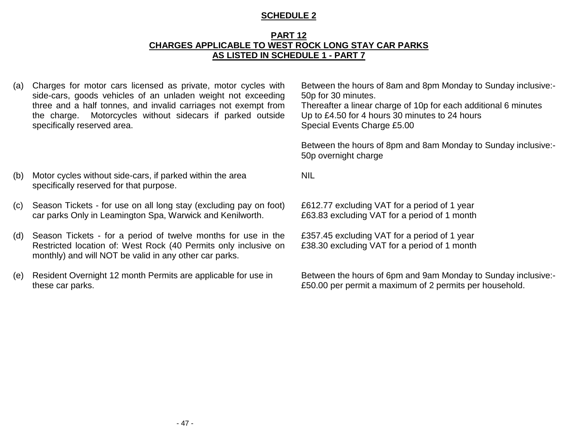#### **PART 12 CHARGES APPLICABLE TO WEST ROCK LONG STAY CAR PARKS AS LISTED IN SCHEDULE 1 - PART 7**

(a) Charges for motor cars licensed as private, motor cycles with side-cars, goods vehicles of an unladen weight not exceeding three and a half tonnes, and invalid carriages not exempt from the charge. Motorcycles without sidecars if parked outside specifically reserved area.

Between the hours of 8am and 8pm Monday to Sunday inclusive:- 50p for 30 minutes.

Thereafter a linear charge of 10p for each additional 6 minutes Up to £4.50 for 4 hours 30 minutes to 24 hours Special Events Charge £5.00

Between the hours of 8pm and 8am Monday to Sunday inclusive:- 50p overnight charge

NIL

- (b) Motor cycles without side-cars, if parked within the area specifically reserved for that purpose.
- (c) Season Tickets for use on all long stay (excluding pay on foot) car parks Only in Leamington Spa, Warwick and Kenilworth.
- (d) Season Tickets for a period of twelve months for use in the Restricted location of: West Rock (40 Permits only inclusive on monthly) and will NOT be valid in any other car parks.
- (e) Resident Overnight 12 month Permits are applicable for use in these car parks.

£612.77 excluding VAT for a period of 1 year £63.83 excluding VAT for a period of 1 month

£357.45 excluding VAT for a period of 1 year £38.30 excluding VAT for a period of 1 month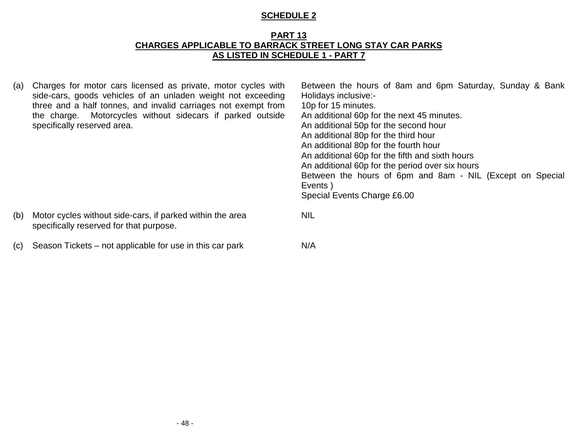#### **PART 13 CHARGES APPLICABLE TO BARRACK STREET LONG STAY CAR PARKS AS LISTED IN SCHEDULE 1 - PART 7**

(a) Charges for motor cars licensed as private, motor cycles with side-cars, goods vehicles of an unladen weight not exceeding three and a half tonnes, and invalid carriages not exempt from the charge. Motorcycles without sidecars if parked outside specifically reserved area. Between the hours of 8am and 6pm Saturday, Sunday & Bank Holidays inclusive:- 10p for 15 minutes. An additional 60p for the next 45 minutes. An additional 50p for the second hour An additional 80p for the third hour An additional 80p for the fourth hour An additional 60p for the fifth and sixth hours An additional 60p for the period over six hours Between the hours of 6pm and 8am - NIL (Except on Special Events ) Special Events Charge £6.00 (b) Motor cycles without side-cars, if parked within the area specifically reserved for that purpose. NIL (c) Season Tickets – not applicable for use in this car park N/A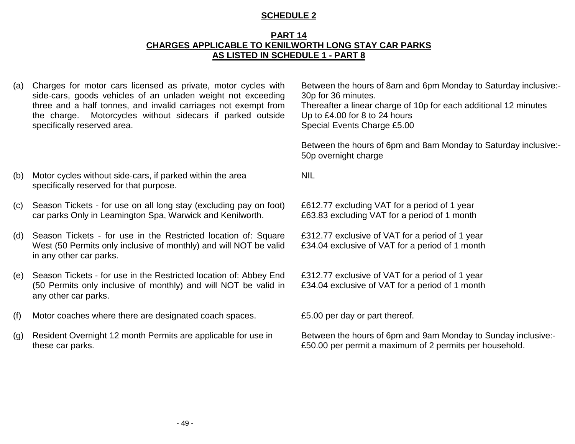#### **PART 14 CHARGES APPLICABLE TO KENILWORTH LONG STAY CAR PARKS AS LISTED IN SCHEDULE 1 - PART 8**

NIL

(a) Charges for motor cars licensed as private, motor cycles with side-cars, goods vehicles of an unladen weight not exceeding three and a half tonnes, and invalid carriages not exempt from the charge. Motorcycles without sidecars if parked outside specifically reserved area.

Between the hours of 8am and 6pm Monday to Saturday inclusive:- 30p for 36 minutes. Thereafter a linear charge of 10p for each additional 12 minutes Up to £4.00 for 8 to 24 hours Special Events Charge £5.00

Between the hours of 6pm and 8am Monday to Saturday inclusive:- 50p overnight charge

- (b) Motor cycles without side-cars, if parked within the area
- (c) Season Tickets for use on all long stay (excluding pay on foot) car parks Only in Leamington Spa, Warwick and Kenilworth.

specifically reserved for that purpose.

- (d) Season Tickets for use in the Restricted location of: Square West (50 Permits only inclusive of monthly) and will NOT be valid in any other car parks.
- (e) Season Tickets for use in the Restricted location of: Abbey End (50 Permits only inclusive of monthly) and will NOT be valid in any other car parks.
- (f) Motor coaches where there are designated coach spaces. £5.00 per day or part thereof.
- (g) Resident Overnight 12 month Permits are applicable for use in these car parks.

£612.77 excluding VAT for a period of 1 year £63.83 excluding VAT for a period of 1 month

£312.77 exclusive of VAT for a period of 1 year £34.04 exclusive of VAT for a period of 1 month

£312.77 exclusive of VAT for a period of 1 year £34.04 exclusive of VAT for a period of 1 month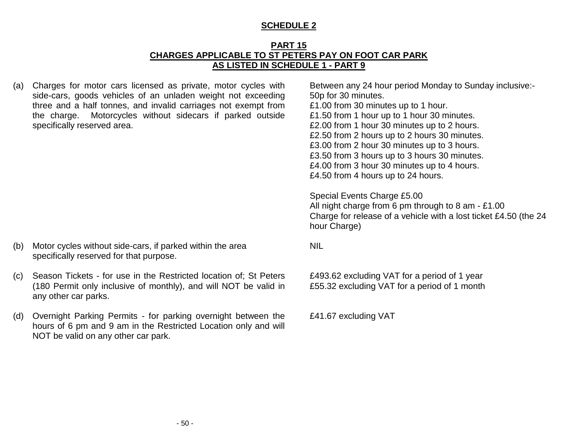#### **PART 15 CHARGES APPLICABLE TO ST PETERS PAY ON FOOT CAR PARK AS LISTED IN SCHEDULE 1 - PART 9**

(a) Charges for motor cars licensed as private, motor cycles with side-cars, goods vehicles of an unladen weight not exceeding three and a half tonnes, and invalid carriages not exempt from the charge. Motorcycles without sidecars if parked outside specifically reserved area.

Between any 24 hour period Monday to Sunday inclusive:- 50p for 30 minutes. £1.00 from 30 minutes up to 1 hour. £1.50 from 1 hour up to 1 hour 30 minutes. £2.00 from 1 hour 30 minutes up to 2 hours. £2.50 from 2 hours up to 2 hours 30 minutes. £3.00 from 2 hour 30 minutes up to 3 hours. £3.50 from 3 hours up to 3 hours 30 minutes. £4.00 from 3 hour 30 minutes up to 4 hours. £4.50 from 4 hours up to 24 hours.

Special Events Charge £5.00 All night charge from 6 pm through to 8 am - £1.00 Charge for release of a vehicle with a lost ticket £4.50 (the 24 hour Charge)

NIL

£493.62 excluding VAT for a period of 1 year £55.32 excluding VAT for a period of 1 month

£41.67 excluding VAT

- (b) Motor cycles without side-cars, if parked within the area specifically reserved for that purpose.
- (c) Season Tickets for use in the Restricted location of; St Peters (180 Permit only inclusive of monthly), and will NOT be valid in any other car parks.
- (d) Overnight Parking Permits for parking overnight between the hours of 6 pm and 9 am in the Restricted Location only and will NOT be valid on any other car park.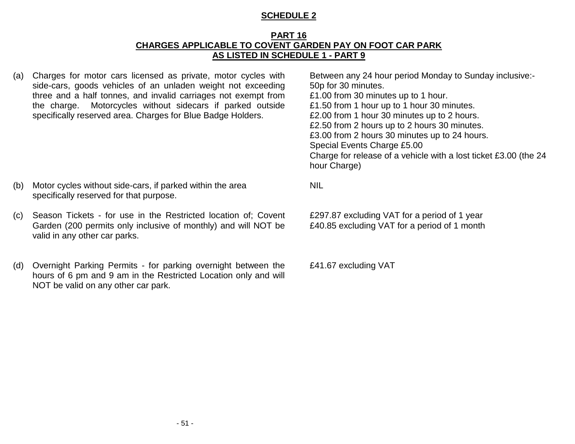#### **PART 16 CHARGES APPLICABLE TO COVENT GARDEN PAY ON FOOT CAR PARK AS LISTED IN SCHEDULE 1 - PART 9**

(a) Charges for motor cars licensed as private, motor cycles with side-cars, goods vehicles of an unladen weight not exceeding three and a half tonnes, and invalid carriages not exempt from the charge. Motorcycles without sidecars if parked outside specifically reserved area. Charges for Blue Badge Holders.

Between any 24 hour period Monday to Sunday inclusive:- 50p for 30 minutes. £1.00 from 30 minutes up to 1 hour. £1.50 from 1 hour up to 1 hour 30 minutes. £2.00 from 1 hour 30 minutes up to 2 hours. £2.50 from 2 hours up to 2 hours 30 minutes. £3.00 from 2 hours 30 minutes up to 24 hours. Special Events Charge £5.00 Charge for release of a vehicle with a lost ticket £3.00 (the 24 hour Charge)

- (b) Motor cycles without side-cars, if parked within the area specifically reserved for that purpose.
- (c) Season Tickets for use in the Restricted location of; Covent Garden (200 permits only inclusive of monthly) and will NOT be valid in any other car parks.
- (d) Overnight Parking Permits for parking overnight between the hours of 6 pm and 9 am in the Restricted Location only and will NOT be valid on any other car park.

NIL

£297.87 excluding VAT for a period of 1 year £40.85 excluding VAT for a period of 1 month

£41.67 excluding VAT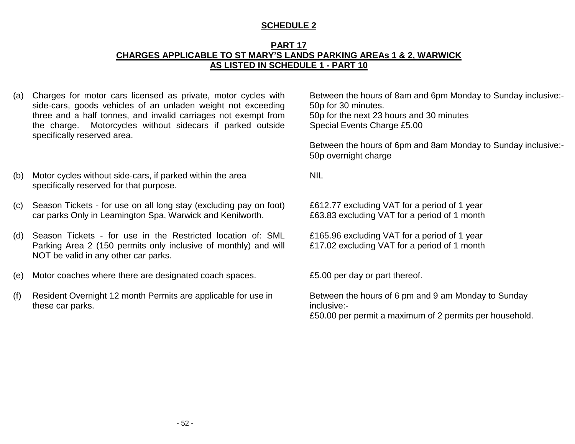#### **PART 17 CHARGES APPLICABLE TO ST MARY'S LANDS PARKING AREAs 1 & 2, WARWICK AS LISTED IN SCHEDULE 1 - PART 10**

(a) Charges for motor cars licensed as private, motor cycles with side-cars, goods vehicles of an unladen weight not exceeding three and a half tonnes, and invalid carriages not exempt from the charge. Motorcycles without sidecars if parked outside specifically reserved area.

Between the hours of 8am and 6pm Monday to Sunday inclusive:- 50p for 30 minutes. 50p for the next 23 hours and 30 minutes Special Events Charge £5.00

Between the hours of 6pm and 8am Monday to Sunday inclusive:- 50p overnight charge

NIL

£612.77 excluding VAT for a period of 1 year £63.83 excluding VAT for a period of 1 month

£165.96 excluding VAT for a period of 1 year £17.02 excluding VAT for a period of 1 month

Between the hours of 6 pm and 9 am Monday to Sunday inclusive:-

£50.00 per permit a maximum of 2 permits per household.

- (b) Motor cycles without side-cars, if parked within the area specifically reserved for that purpose.
- (c) Season Tickets for use on all long stay (excluding pay on foot) car parks Only in Leamington Spa, Warwick and Kenilworth.
- (d) Season Tickets for use in the Restricted location of: SML Parking Area 2 (150 permits only inclusive of monthly) and will NOT be valid in any other car parks.
- (e) Motor coaches where there are designated coach spaces. £5.00 per day or part thereof.
- (f) Resident Overnight 12 month Permits are applicable for use in these car parks.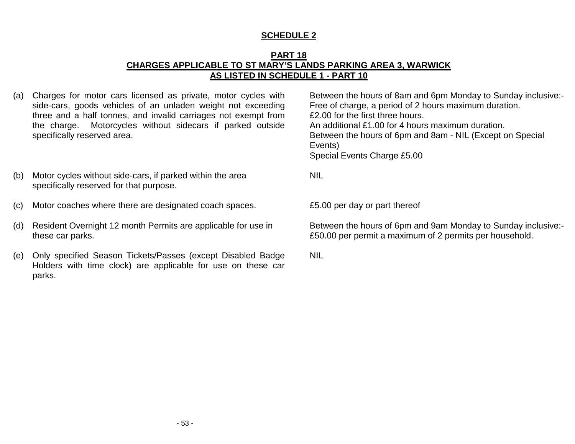#### **PART 18 CHARGES APPLICABLE TO ST MARY'S LANDS PARKING AREA 3, WARWICK AS LISTED IN SCHEDULE 1 - PART 10**

(a) Charges for motor cars licensed as private, motor cycles with side-cars, goods vehicles of an unladen weight not exceeding three and a half tonnes, and invalid carriages not exempt from the charge. Motorcycles without sidecars if parked outside specifically reserved area.

Between the hours of 8am and 6pm Monday to Sunday inclusive:- Free of charge, a period of 2 hours maximum duration. £2.00 for the first three hours. An additional £1.00 for 4 hours maximum duration. Between the hours of 6pm and 8am - NIL (Except on Special Events) Special Events Charge £5.00

- (b) Motor cycles without side-cars, if parked within the area specifically reserved for that purpose.
- (c) Motor coaches where there are designated coach spaces. £5.00 per day or part thereof
- (d) Resident Overnight 12 month Permits are applicable for use in these car parks.
- (e) Only specified Season Tickets/Passes (except Disabled Badge Holders with time clock) are applicable for use on these car parks.

NIL

Between the hours of 6pm and 9am Monday to Sunday inclusive:- £50.00 per permit a maximum of 2 permits per household.

NIL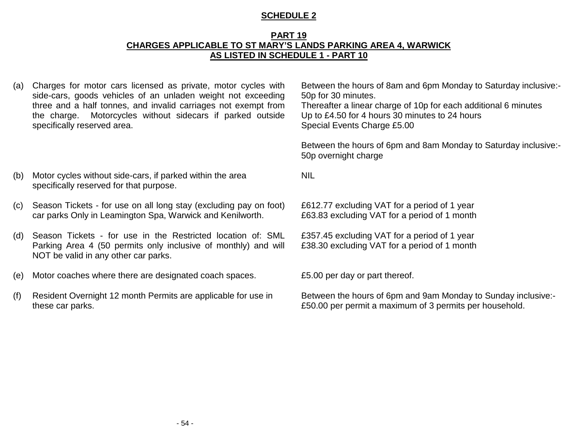#### **PART 19 CHARGES APPLICABLE TO ST MARY'S LANDS PARKING AREA 4, WARWICK AS LISTED IN SCHEDULE 1 - PART 10**

(a) Charges for motor cars licensed as private, motor cycles with side-cars, goods vehicles of an unladen weight not exceeding three and a half tonnes, and invalid carriages not exempt from the charge. Motorcycles without sidecars if parked outside specifically reserved area.

Between the hours of 8am and 6pm Monday to Saturday inclusive:- 50p for 30 minutes.

Thereafter a linear charge of 10p for each additional 6 minutes Up to £4.50 for 4 hours 30 minutes to 24 hours Special Events Charge £5.00

Between the hours of 6pm and 8am Monday to Saturday inclusive:- 50p overnight charge

NIL

- (b) Motor cycles without side-cars, if parked within the area specifically reserved for that purpose.
- (c) Season Tickets for use on all long stay (excluding pay on foot) car parks Only in Leamington Spa, Warwick and Kenilworth.
- (d) Season Tickets for use in the Restricted location of: SML Parking Area 4 (50 permits only inclusive of monthly) and will NOT be valid in any other car parks.
- (e) Motor coaches where there are designated coach spaces. £5.00 per day or part thereof.
- (f) Resident Overnight 12 month Permits are applicable for use in these car parks.

£612.77 excluding VAT for a period of 1 year £63.83 excluding VAT for a period of 1 month

£357.45 excluding VAT for a period of 1 year £38.30 excluding VAT for a period of 1 month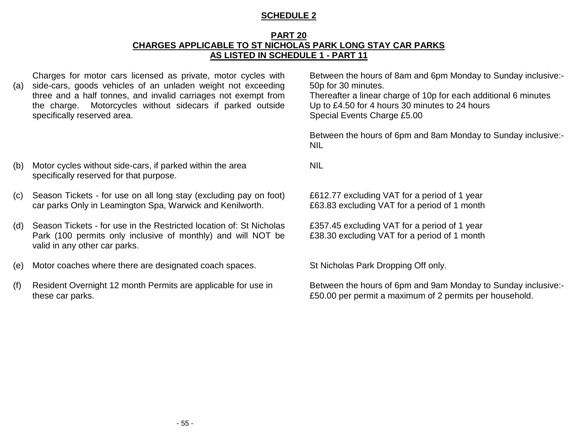#### **PART 20 CHARGES APPLICABLE TO ST NICHOLAS PARK LONG STAY CAR PARKS AS LISTED IN SCHEDULE 1 - PART 11**

Charges for motor cars licensed as private, motor cycles with

(a) side-cars, goods vehicles of an unladen weight not exceeding three and a half tonnes, and invalid carriages not exempt from the charge. Motorcycles without sidecars if parked outside specifically reserved area.

Between the hours of 8am and 6pm Monday to Sunday inclusive:- 50p for 30 minutes.

Thereafter a linear charge of 10p for each additional 6 minutes Up to £4.50 for 4 hours 30 minutes to 24 hours Special Events Charge £5.00

Between the hours of 6pm and 8am Monday to Sunday inclusive:- NIL

- (b) Motor cycles without side-cars, if parked within the area specifically reserved for that purpose.
- (c) Season Tickets for use on all long stay (excluding pay on foot) car parks Only in Leamington Spa, Warwick and Kenilworth.
- (d) Season Tickets for use in the Restricted location of: St Nicholas Park (100 permits only inclusive of monthly) and will NOT be valid in any other car parks.
- (e) Motor coaches where there are designated coach spaces. St Nicholas Park Dropping Off only.
- (f) Resident Overnight 12 month Permits are applicable for use in these car parks.

NIL

£612.77 excluding VAT for a period of 1 year £63.83 excluding VAT for a period of 1 month

£357.45 excluding VAT for a period of 1 year £38.30 excluding VAT for a period of 1 month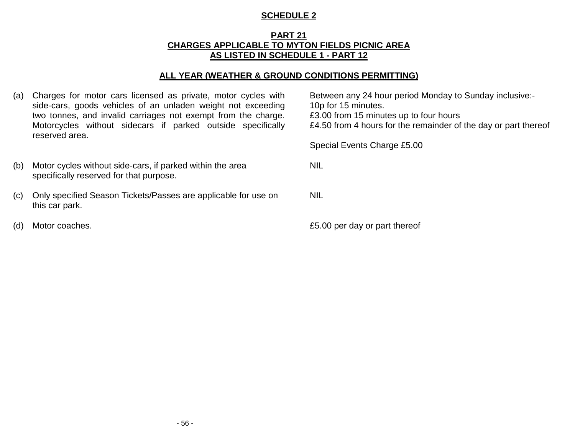#### **PART 21 CHARGES APPLICABLE TO MYTON FIELDS PICNIC AREA AS LISTED IN SCHEDULE 1 - PART 12**

#### **ALL YEAR (WEATHER & GROUND CONDITIONS PERMITTING)**

- (a) Charges for motor cars licensed as private, motor cycles with side-cars, goods vehicles of an unladen weight not exceeding two tonnes, and invalid carriages not exempt from the charge. Motorcycles without sidecars if parked outside specifically reserved area.
- (b) Motor cycles without side-cars, if parked within the area specifically reserved for that purpose.
- (c) Only specified Season Tickets/Passes are applicable for use on this car park.
- 

Between any 24 hour period Monday to Sunday inclusive:- 10p for 15 minutes. £3.00 from 15 minutes up to four hours £4.50 from 4 hours for the remainder of the day or part thereof

Special Events Charge £5.00

NIL

NIL

(d) Motor coaches. £5.00 per day or part thereof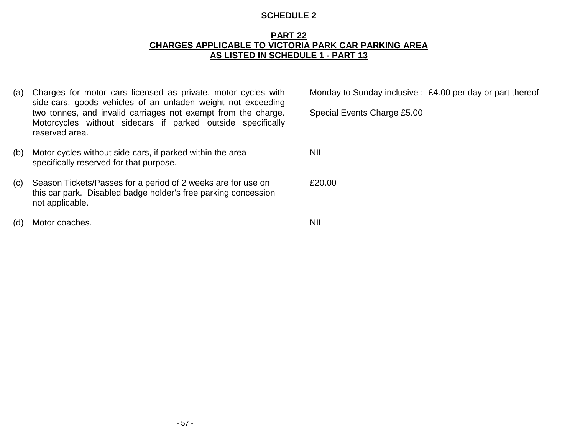#### **PART 22 CHARGES APPLICABLE TO VICTORIA PARK CAR PARKING AREA AS LISTED IN SCHEDULE 1 - PART 13**

- (a) Charges for motor cars licensed as private, motor cycles with side-cars, goods vehicles of an unladen weight not exceeding two tonnes, and invalid carriages not exempt from the charge. Motorcycles without sidecars if parked outside specifically reserved area.
- (b) Motor cycles without side-cars, if parked within the area specifically reserved for that purpose.
- (c) Season Tickets/Passes for a period of 2 weeks are for use on this car park. Disabled badge holder's free parking concession not applicable.
- (d) Motor coaches. NIL

Monday to Sunday inclusive :- £4.00 per day or part thereof

Special Events Charge £5.00

NIL

£20.00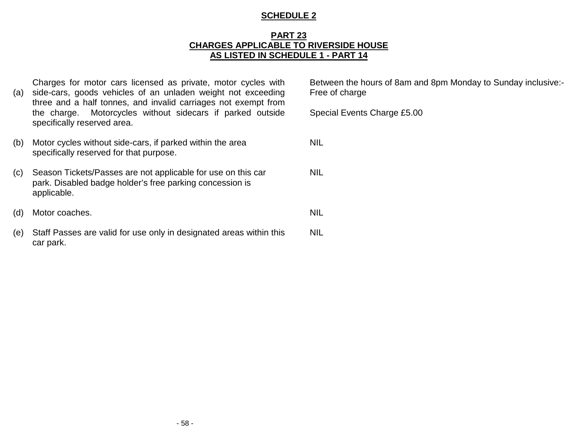#### **PART 23 CHARGES APPLICABLE TO RIVERSIDE HOUSE AS LISTED IN SCHEDULE 1 - PART 14**

| (a) | Charges for motor cars licensed as private, motor cycles with<br>side-cars, goods vehicles of an unladen weight not exceeding<br>three and a half tonnes, and invalid carriages not exempt from | Between the<br>Free of char |
|-----|-------------------------------------------------------------------------------------------------------------------------------------------------------------------------------------------------|-----------------------------|
|     | Motorcycles without sidecars if parked outside<br>the charge.<br>specifically reserved area.                                                                                                    | <b>Special Eve</b>          |
| (b) | Motor cycles without side-cars, if parked within the area<br>specifically reserved for that purpose.                                                                                            | <b>NIL</b>                  |
| (c) | Season Tickets/Passes are not applicable for use on this car<br>park. Disabled badge holder's free parking concession is<br>applicable.                                                         | <b>NIL</b>                  |
| (d) | Motor coaches.                                                                                                                                                                                  | <b>NIL</b>                  |
| (e) | Staff Passes are valid for use only in designated areas within this<br>car park.                                                                                                                | <b>NIL</b>                  |

e hours of 8am and 8pm Monday to Sunday inclusive:rge

| Special Events Charge £5.00 |  |  |
|-----------------------------|--|--|
|-----------------------------|--|--|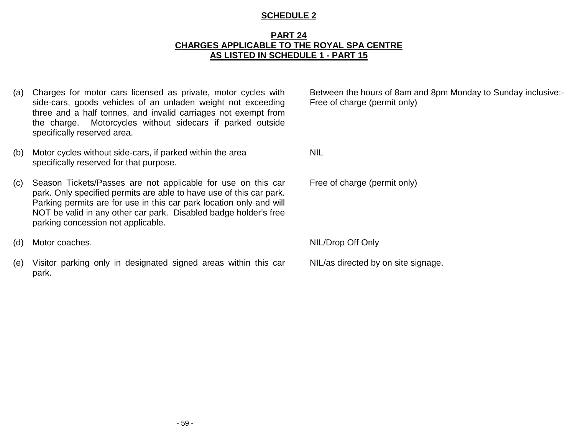#### **PART 24 CHARGES APPLICABLE TO THE ROYAL SPA CENTRE AS LISTED IN SCHEDULE 1 - PART 15**

- (a) Charges for motor cars licensed as private, motor cycles with side-cars, goods vehicles of an unladen weight not exceeding three and a half tonnes, and invalid carriages not exempt from the charge. Motorcycles without sidecars if parked outside specifically reserved area.
- (b) Motor cycles without side-cars, if parked within the area specifically reserved for that purpose.
- (c) Season Tickets/Passes are not applicable for use on this car park. Only specified permits are able to have use of this car park. Parking permits are for use in this car park location only and will NOT be valid in any other car park. Disabled badge holder's free parking concession not applicable.
- (d) Motor coaches. NIL/Drop Off Only
- (e) Visitor parking only in designated signed areas within this car park.

Between the hours of 8am and 8pm Monday to Sunday inclusive:- Free of charge (permit only)

NIL

Free of charge (permit only)

NIL/as directed by on site signage.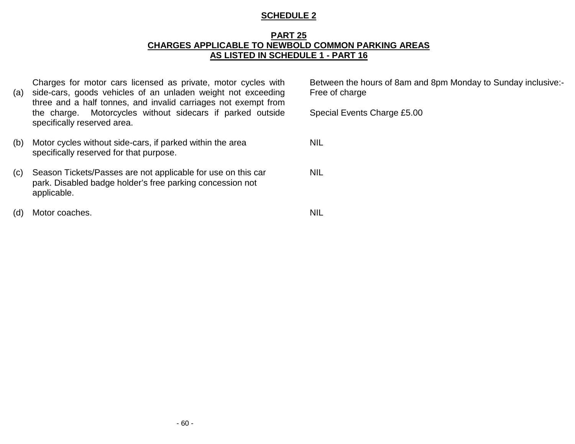#### **PART 25 CHARGES APPLICABLE TO NEWBOLD COMMON PARKING AREAS AS LISTED IN SCHEDULE 1 - PART 16**

| (a) | Charges for motor cars licensed as private, motor cycles with<br>side-cars, goods vehicles of an unladen weight not exceeding<br>three and a half tonnes, and invalid carriages not exempt from | Between the hours of 8am and 8pm Monday to Sunday inclusive:-<br>Free of charge |
|-----|-------------------------------------------------------------------------------------------------------------------------------------------------------------------------------------------------|---------------------------------------------------------------------------------|
|     | the charge. Motorcycles without sidecars if parked outside<br>specifically reserved area.                                                                                                       | Special Events Charge £5.00                                                     |
| (b) | Motor cycles without side-cars, if parked within the area<br>specifically reserved for that purpose.                                                                                            | <b>NIL</b>                                                                      |
| (c) | Season Tickets/Passes are not applicable for use on this car<br>park. Disabled badge holder's free parking concession not<br>applicable.                                                        | <b>NIL</b>                                                                      |
| (d) | Motor coaches.                                                                                                                                                                                  | <b>NIL</b>                                                                      |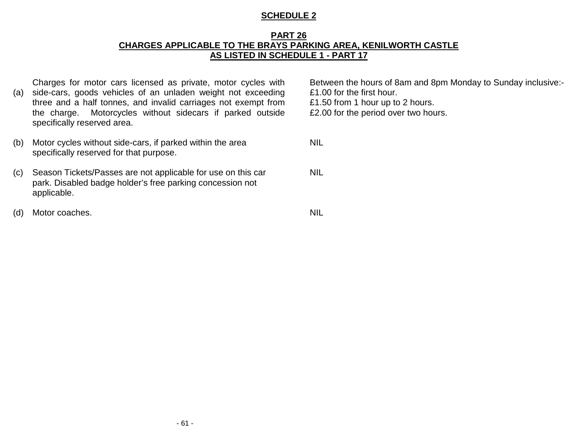#### **PART 26 CHARGES APPLICABLE TO THE BRAYS PARKING AREA, KENILWORTH CASTLE AS LISTED IN SCHEDULE 1 - PART 17**

Charges for motor cars licensed as private, motor cycles with

(a) side-cars, goods vehicles of an unladen weight not exceeding three and a half tonnes, and invalid carriages not exempt from the charge. Motorcycles without sidecars if parked outside specifically reserved area.

| (b) | Motor cycles without side-cars, if parked within the area |  |
|-----|-----------------------------------------------------------|--|
|     | specifically reserved for that purpose.                   |  |

(c) Season Tickets/Passes are not applicable for use on this car park. Disabled badge holder's free parking concession not applicable.

(d) Motor coaches. NIL

Between the hours of 8am and 8pm Monday to Sunday inclusive:- £1.00 for the first hour. £1.50 from 1 hour up to 2 hours. £2.00 for the period over two hours.

NIL

NIL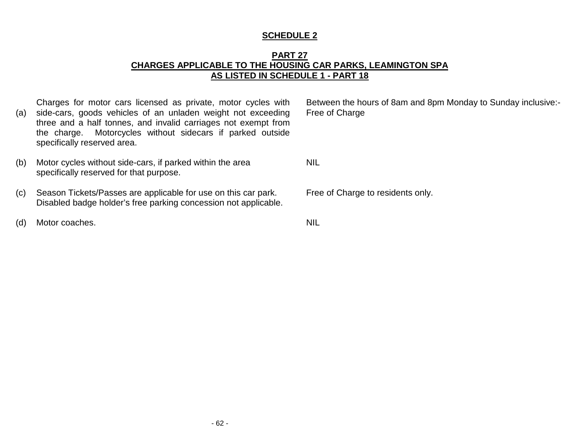#### **PART 27 CHARGES APPLICABLE TO THE HOUSING CAR PARKS, LEAMINGTON SPA AS LISTED IN SCHEDULE 1 - PART 18**

(a) Charges for motor cars licensed as private, motor cycles with side-cars, goods vehicles of an unladen weight not exceeding three and a half tonnes, and invalid carriages not exempt from the charge. Motorcycles without sidecars if parked outside specifically reserved area.

(b) Motor cycles without side-cars, if parked within the area specifically reserved for that purpose.

(c) Season Tickets/Passes are applicable for use on this car park. Disabled badge holder's free parking concession not applicable.

(d) Motor coaches. NIL

Between the hours of 8am and 8pm Monday to Sunday inclusive:- Free of Charge

NIL

Free of Charge to residents only.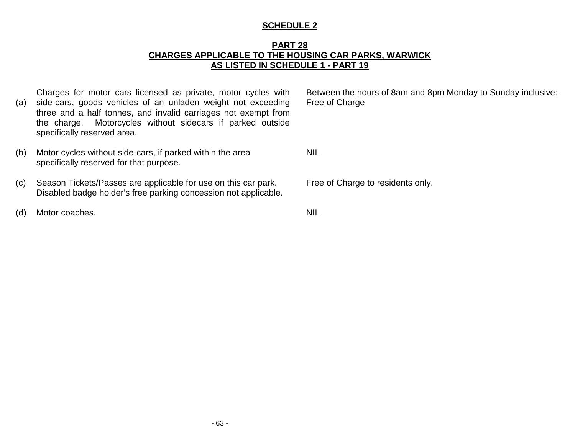### **PART 28 CHARGES APPLICABLE TO THE HOUSING CAR PARKS, WARWICK AS LISTED IN SCHEDULE 1 - PART 19**

(a) Charges for motor cars licensed as private, motor cycles with side-cars, goods vehicles of an unladen weight not exceeding three and a half tonnes, and invalid carriages not exempt from the charge. Motorcycles without sidecars if parked outside specifically reserved area.

- (b) Motor cycles without side-cars, if parked within the area specifically reserved for that purpose.
- (c) Season Tickets/Passes are applicable for use on this car park. Disabled badge holder's free parking concession not applicable.
- (d) Motor coaches. NIL

Between the hours of 8am and 8pm Monday to Sunday inclusive:- Free of Charge

NIL

Free of Charge to residents only.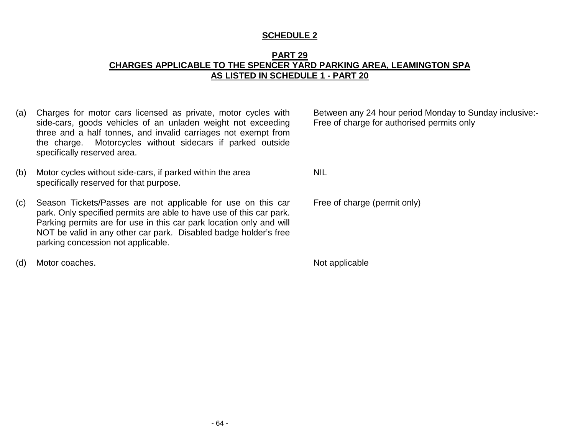### **PART 29 CHARGES APPLICABLE TO THE SPENCER YARD PARKING AREA, LEAMINGTON SPA AS LISTED IN SCHEDULE 1 - PART 20**

- (a) Charges for motor cars licensed as private, motor cycles with side-cars, goods vehicles of an unladen weight not exceeding three and a half tonnes, and invalid carriages not exempt from the charge. Motorcycles without sidecars if parked outside specifically reserved area.
- (b) Motor cycles without side-cars, if parked within the area specifically reserved for that purpose.
- (c) Season Tickets/Passes are not applicable for use on this car park. Only specified permits are able to have use of this car park. Parking permits are for use in this car park location only and will NOT be valid in any other car park. Disabled badge holder's free parking concession not applicable.
- (d) Motor coaches. Not applicable the contract of the contract of the contract of the contract of the contract of the contract of the contract of the contract of the contract of the contract of the contract of the contract

Between any 24 hour period Monday to Sunday inclusive:- Free of charge for authorised permits only

NIL

Free of charge (permit only)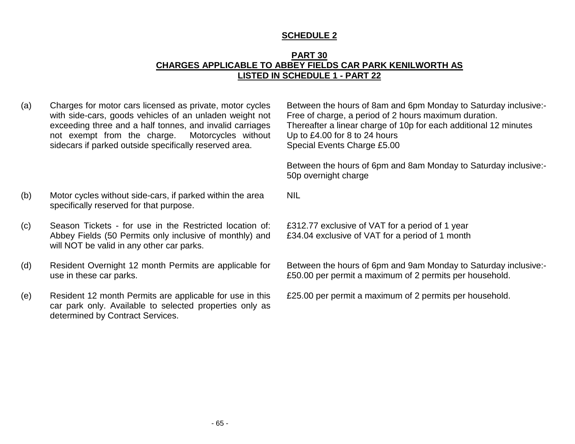### **PART 30 CHARGES APPLICABLE TO ABBEY FIELDS CAR PARK KENILWORTH AS LISTED IN SCHEDULE 1 - PART 22**

NIL

(a) Charges for motor cars licensed as private, motor cycles with side-cars, goods vehicles of an unladen weight not exceeding three and a half tonnes, and invalid carriages not exempt from the charge. Motorcycles without sidecars if parked outside specifically reserved area.

Between the hours of 8am and 6pm Monday to Saturday inclusive:- Free of charge, a period of 2 hours maximum duration. Thereafter a linear charge of 10p for each additional 12 minutes Up to £4.00 for 8 to 24 hours Special Events Charge £5.00

Between the hours of 6pm and 8am Monday to Saturday inclusive:- 50p overnight charge

- (b) Motor cycles without side-cars, if parked within the area specifically reserved for that purpose.
- (c) Season Tickets for use in the Restricted location of: Abbey Fields (50 Permits only inclusive of monthly) and will NOT be valid in any other car parks.
- (d) Resident Overnight 12 month Permits are applicable for use in these car parks.
- (e) Resident 12 month Permits are applicable for use in this car park only. Available to selected properties only as determined by Contract Services.

£312.77 exclusive of VAT for a period of 1 year

£34.04 exclusive of VAT for a period of 1 month

Between the hours of 6pm and 9am Monday to Saturday inclusive:- £50.00 per permit a maximum of 2 permits per household.

£25.00 per permit a maximum of 2 permits per household.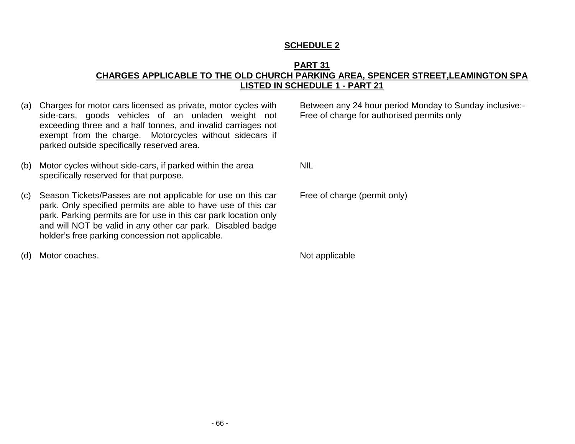#### **PART 31 CHARGES APPLICABLE TO THE OLD CHURCH PARKING AREA, SPENCER STREET,LEAMINGTON SPA LISTED IN SCHEDULE 1 - PART 21**

- (a) Charges for motor cars licensed as private, motor cycles with side-cars, goods vehicles of an unladen weight not exceeding three and a half tonnes, and invalid carriages not exempt from the charge. Motorcycles without sidecars if parked outside specifically reserved area.
- (b) Motor cycles without side-cars, if parked within the area specifically reserved for that purpose.
- (c) Season Tickets/Passes are not applicable for use on this car park. Only specified permits are able to have use of this car park. Parking permits are for use in this car park location only and will NOT be valid in any other car park. Disabled badge holder's free parking concession not applicable.
- (d) Motor coaches. Not applicable

Between any 24 hour period Monday to Sunday inclusive:- Free of charge for authorised permits only

NIL

Free of charge (permit only)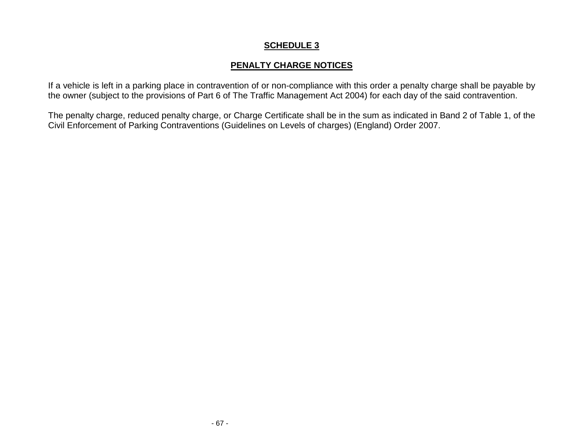# **PENALTY CHARGE NOTICES**

If a vehicle is left in a parking place in contravention of or non-compliance with this order a penalty charge shall be payable by the owner (subject to the provisions of Part 6 of The Traffic Management Act 2004) for each day of the said contravention.

The penalty charge, reduced penalty charge, or Charge Certificate shall be in the sum as indicated in Band 2 of Table 1, of the Civil Enforcement of Parking Contraventions (Guidelines on Levels of charges) (England) Order 2007.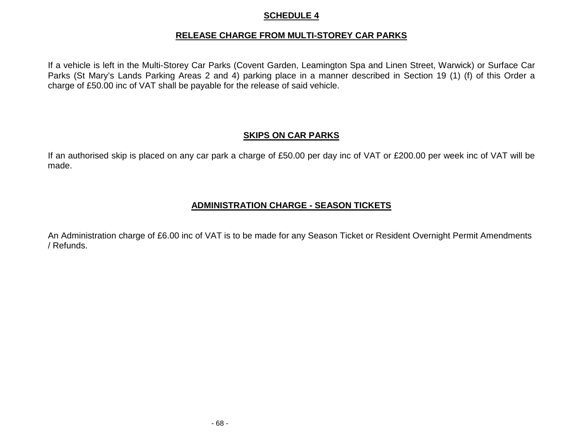### **RELEASE CHARGE FROM MULTI-STOREY CAR PARKS**

If a vehicle is left in the Multi-Storey Car Parks (Covent Garden, Leamington Spa and Linen Street, Warwick) or Surface Car Parks (St Mary's Lands Parking Areas 2 and 4) parking place in a manner described in Section 19 (1) (f) of this Order a charge of £50.00 inc of VAT shall be payable for the release of said vehicle.

# **SKIPS ON CAR PARKS**

If an authorised skip is placed on any car park a charge of £50.00 per day inc of VAT or £200.00 per week inc of VAT will be made.

# **ADMINISTRATION CHARGE - SEASON TICKETS**

An Administration charge of £6.00 inc of VAT is to be made for any Season Ticket or Resident Overnight Permit Amendments / Refunds.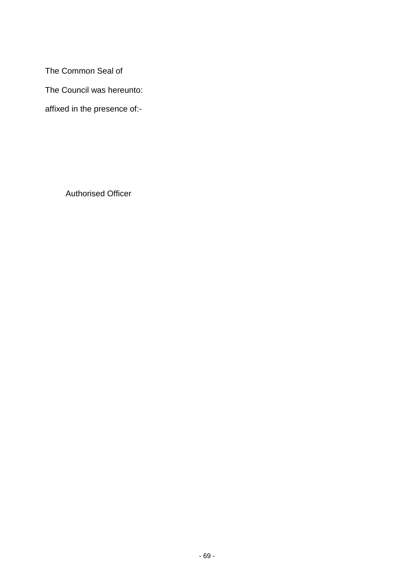The Common Seal of

The Council was hereunto:

affixed in the presence of:-

Authorised Officer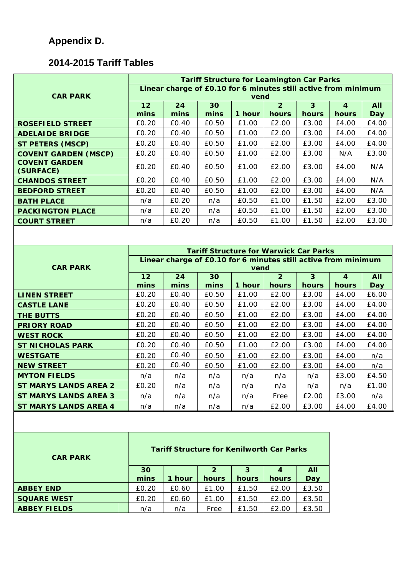# **Appendix D.**

# **2014-2015 Tariff Tables**

|                                               | <b>Tariff Structure for Leamington Car Parks</b>                             |            |                |                |                                  |                         |                         |                          |  |  |
|-----------------------------------------------|------------------------------------------------------------------------------|------------|----------------|----------------|----------------------------------|-------------------------|-------------------------|--------------------------|--|--|
|                                               | Linear charge of £0.10 for 6 minutes still active from minimum               |            |                |                |                                  |                         |                         |                          |  |  |
| <b>CAR PARK</b>                               | vend<br>$\overline{2}$<br>$\overline{3}$<br>30<br>12<br>24<br>$\overline{4}$ |            |                |                |                                  |                         |                         | <b>All</b>               |  |  |
|                                               | mins                                                                         | mins       | mins           | 1 hour         | hours                            | hours                   | hours                   | <b>Day</b>               |  |  |
| <b>ROSEFIELD STREET</b>                       | £0.20                                                                        | £0.40      | £0.50          | £1.00          | £2.00                            | £3.00                   | £4.00                   | £4.00                    |  |  |
| <b>ADELAIDE BRIDGE</b>                        | £0.20                                                                        | £0.40      | £0.50          | £1.00          | £2.00                            | £3.00                   | £4.00                   | £4.00                    |  |  |
| <b>ST PETERS (MSCP)</b>                       | £0.20                                                                        | £0.40      | £0.50          | £1.00          | £2.00                            | £3.00                   | £4.00                   | £4.00                    |  |  |
| <b>COVENT GARDEN (MSCP)</b>                   | £0.20                                                                        | £0.40      | £0.50          | £1.00          | £2.00                            | £3.00                   | N/A                     | £3.00                    |  |  |
| <b>COVENT GARDEN</b><br>(SURFACE)             | £0.20                                                                        | £0.40      | £0.50          | £1.00          | £2.00                            | £3.00                   | £4.00                   | N/A                      |  |  |
| <b>CHANDOS STREET</b>                         | £0.20                                                                        | £0.40      | £0.50          | £1.00          | £2.00                            | £3.00                   | £4.00                   | N/A                      |  |  |
| <b>BEDFORD STREET</b>                         | £0.20                                                                        | £0.40      | £0.50          | £1.00          | £2.00                            | £3.00                   | £4.00                   | N/A                      |  |  |
| <b>BATH PLACE</b>                             | n/a                                                                          | £0.20      | n/a            | £0.50          | £1.00                            | £1.50                   | £2.00                   | £3.00                    |  |  |
| <b>PACKINGTON PLACE</b>                       | n/a                                                                          | £0.20      | n/a            | £0.50          | £1.00                            | £1.50                   | £2.00                   | £3.00                    |  |  |
| <b>COURT STREET</b>                           | n/a                                                                          | £0.20      | n/a            | £0.50          | £1.00                            | £1.50                   | £2.00                   | £3.00                    |  |  |
|                                               |                                                                              |            |                |                |                                  |                         |                         |                          |  |  |
| <b>Tariff Structure for Warwick Car Parks</b> |                                                                              |            |                |                |                                  |                         |                         |                          |  |  |
| <b>CAR PARK</b>                               | Linear charge of £0.10 for 6 minutes still active from minimum               |            |                |                |                                  |                         |                         |                          |  |  |
|                                               | vend                                                                         |            |                |                |                                  |                         |                         |                          |  |  |
|                                               | 12<br>mins                                                                   | 24<br>mins | 30<br>mins     | 1 hour         | $\overline{2}$<br>hours          | $\overline{3}$<br>hours | $\overline{4}$<br>hours | <b>All</b><br><b>Day</b> |  |  |
| <b>LINEN STREET</b>                           | £0.20                                                                        | £0.40      | £0.50          | £1.00          | £2.00                            | £3.00                   | £4.00                   | £6.00                    |  |  |
| <b>CASTLE LANE</b>                            | £0.20                                                                        | £0.40      | £0.50          | £1.00          | £2.00                            | £3.00                   | £4.00                   | £4.00                    |  |  |
| <b>THE BUTTS</b>                              | £0.20                                                                        | £0.40      | £0.50          | £1.00          | £2.00                            | £3.00                   | £4.00                   | £4.00                    |  |  |
| <b>PRIORY ROAD</b>                            | £0.20                                                                        | £0.40      | £0.50          | £1.00          | £2.00                            | £3.00                   | £4.00                   | £4.00                    |  |  |
| <b>WEST ROCK</b>                              | £0.20                                                                        | £0.40      | £0.50          | £1.00          | £2.00                            | £3.00                   | £4.00                   | £4.00                    |  |  |
| <b>ST NICHOLAS PARK</b>                       | £0.20                                                                        | £0.40      | £0.50          | £1.00          | £2.00                            | £3.00                   | £4.00                   | £4.00                    |  |  |
| <b>WESTGATE</b>                               | £0.20                                                                        | £0.40      | £0.50          | £1.00          | £2.00                            | £3.00                   | £4.00                   | n/a                      |  |  |
| <b>NEW STREET</b>                             | £0.20                                                                        | £0.40      | £0.50          | £1.00          | £2.00                            | £3.00                   | £4.00                   | n/a                      |  |  |
| <b>MYTON FIELDS</b>                           | n/a                                                                          | n/a        | n/a            | n/a            | n/a                              | n/a                     | £3.00                   | £4.50                    |  |  |
| <b>ST MARYS LANDS AREA 2</b>                  | £0.20                                                                        | n/a        | n/a            | n/a            | n/a                              | n/a                     | n/a                     | £1.00                    |  |  |
| <b>ST MARYS LANDS AREA 3</b>                  | n/a                                                                          | n/a        | n/a            | n/a            | Free                             | £2.00                   | £3.00                   | n/a                      |  |  |
| <b>ST MARYS LANDS AREA 4</b>                  | n/a                                                                          | n/a        | n/a            | n/a            | £2.00                            | £3.00                   | £4.00                   | £4.00                    |  |  |
|                                               |                                                                              |            |                |                |                                  |                         |                         |                          |  |  |
|                                               |                                                                              |            |                |                |                                  |                         |                         |                          |  |  |
|                                               |                                                                              |            |                |                |                                  |                         |                         |                          |  |  |
| <b>CAR PARK</b>                               | <b>Tariff Structure for Kenilworth Car Parks</b>                             |            |                |                |                                  |                         |                         |                          |  |  |
|                                               |                                                                              |            | 2 <sup>1</sup> | $\overline{3}$ |                                  |                         |                         |                          |  |  |
|                                               | 30<br>mins                                                                   | 1 hour     | hours          | hours          | $\overline{\mathbf{A}}$<br>hours | <b>All</b><br>Day       |                         |                          |  |  |
| <b>ABBEY END</b>                              | £0.20                                                                        | £0.60      | £1.00          | £1.50          | £2.00                            | £3.50                   |                         |                          |  |  |

**SQUARE WEST** £0.20 £0.60 £1.00 £1.50 £2.00 £3.50 **ABBEY FIELDS** | | n/a | n/a | Free | £1.50 | £2.00 | £3.50